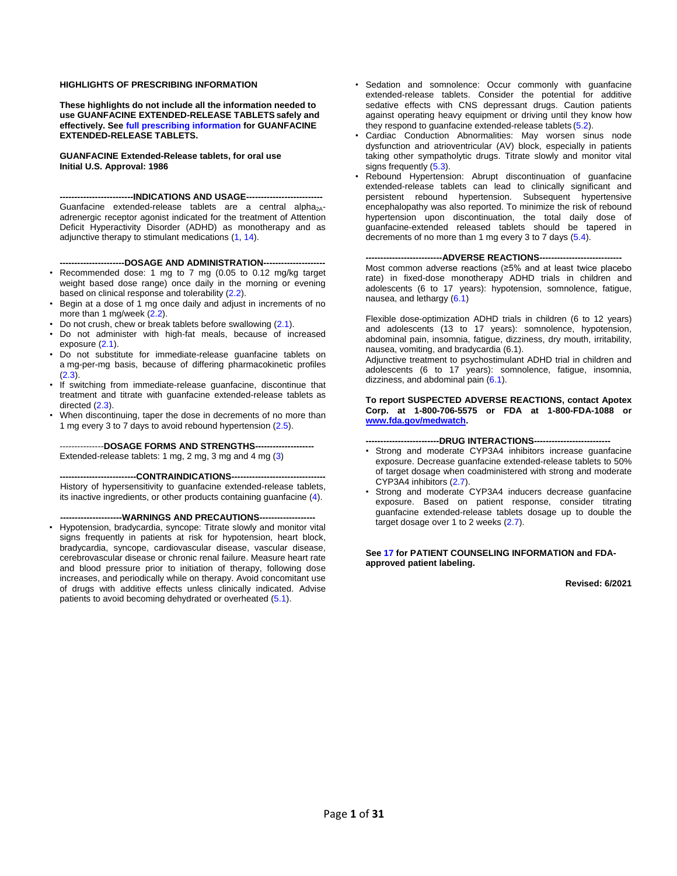#### **HIGHLIGHTS OF PRESCRIBING INFORMATION**

**These highlights do not include all the information needed to use GUANFACINE EXTENDED-RELEASE TABLETS safely and effectively. See [full prescribing information](#page-1-0) for GUANFACINE EXTENDED-RELEASE TABLETS.**

**GUANFACINE Extended-Release tablets, for oral use Initial U.S. Approval: 1986** 

**-------------------------INDICATIONS AND USAGE--------------------------** Guanfacine extended-release tablets are a central alpha<sub>2A</sub>adrenergic receptor agonist indicated for the treatment of Attention Deficit Hyperactivity Disorder (ADHD) as monotherapy and as adjunctive therapy to stimulant medications [\(1,](#page-2-0) [14\)](#page-20-0).

**----------------------DOSAGE AND ADMINISTRATION---------------------**

- Recommended dose: 1 mg to 7 mg (0.05 to 0.12 mg/kg target weight based dose range) once daily in the morning or evening based on clinical response and tolerability [\(2.2\)](#page-2-1).
- Begin at a dose of 1 mg once daily and adjust in increments of no more than 1 mg/week [\(2.2\)](#page-2-1).
- Do not crush, chew or break tablets before swallowing [\(2.1\)](#page-2-2).
- Do not administer with high-fat meals, because of increased exposure [\(2.1\)](#page-2-2).
- Do not substitute for immediate-release guanfacine tablets on a mg-per-mg basis, because of differing pharmacokinetic profiles [\(2.3\)](#page-3-0).
- If switching from immediate-release guanfacine, discontinue that treatment and titrate with guanfacine extended-release tablets as directed [\(2.3\)](#page-3-0).
- When discontinuing, taper the dose in decrements of no more than 1 mg every 3 to 7 days to avoid rebound hypertension [\(2.5\)](#page-3-1).

---------------**DOSAGE FORMS AND STRENGTHS--------------------** Extended-release tablets: 1 mg, 2 mg, 3 mg and 4 mg [\(3\)](#page-4-0)

**--------------------------CONTRAINDICATIONS--------------------------------**

History of hypersensitivity to guanfacine extended-release tablets, its inactive ingredients, or other products containing guanfacine [\(4\)](#page-4-1).

**---------------------WARNINGS AND PRECAUTIONS-------------------**

• Hypotension, bradycardia, syncope: Titrate slowly and monitor vital signs frequently in patients at risk for hypotension, heart block, bradycardia, syncope, cardiovascular disease, vascular disease, cerebrovascular disease or chronic renal failure. Measure heart rate and blood pressure prior to initiation of therapy, following dose increases, and periodically while on therapy. Avoid concomitant use of drugs with additive effects unless clinically indicated. Advise patients to avoid becoming dehydrated or overheated [\(5.1\)](#page-4-2).

- Sedation and somnolence: Occur commonly with guanfacine extended-release tablets. Consider the potential for additive sedative effects with CNS depressant drugs. Caution patients against operating heavy equipment or driving until they know how they respond to guanfacine extended-release tablets [\(5.2\).](#page-5-0)
- Cardiac Conduction Abnormalities: May worsen sinus node dysfunction and atrioventricular (AV) block, especially in patients taking other sympatholytic drugs. Titrate slowly and monitor vital signs frequently [\(5.3\)](#page-5-1).
- Rebound Hypertension: Abrupt discontinuation of guanfacine extended-release tablets can lead to clinically significant and persistent rebound hypertension. Subsequent hypertensive encephalopathy was also reported. To minimize the risk of rebound hypertension upon discontinuation, the total daily dose of guanfacine-extended released tablets should be tapered in decrements of no more than 1 mg every 3 to 7 days [\(5.4\)](#page-5-2).

#### ---ADVERSE REACTIONS----

Most common adverse reactions (≥5% and at least twice placebo rate) in fixed-dose monotherapy ADHD trials in children and adolescents (6 to 17 years): hypotension, somnolence, fatigue, nausea, and lethargy [\(6.1\)](#page-6-0)

Flexible dose-optimization ADHD trials in children (6 to 12 years) and adolescents (13 to 17 years): somnolence, hypotension, abdominal pain, insomnia, fatigue, dizziness, dry mouth, irritability, nausea, vomiting, and bradycardia (6.1).

Adjunctive treatment to psychostimulant ADHD trial in children and adolescents (6 to 17 years): somnolence, fatigue, insomnia, dizziness, and abdominal pain  $(6.1)$ .

**To report SUSPECTED ADVERSE REACTIONS, contact Apotex Corp. at 1-800-706-5575 or FDA at 1-800-FDA-1088 or www.fda.gov/medwatch.** 

#### **-------------------------DRUG INTERACTIONS--------------------------**

- Strong and moderate CYP3A4 inhibitors increase guanfacine exposure. Decrease guanfacine extended-release tablets to 50% of target dosage when coadministered with strong and moderate CYP3A4 inhibitors [\(2.7\)](#page-3-2).
- Strong and moderate CYP3A4 inducers decrease guanfacine exposure. Based on patient response, consider titrating guanfacine extended-release tablets dosage up to double the target dosage over 1 to 2 weeks [\(2.7\)](#page-3-2).

**Se[e 17](#page-25-0) for PATIENT COUNSELING INFORMATION and FDAapproved patient labeling.**

#### **Revised: 6/2021**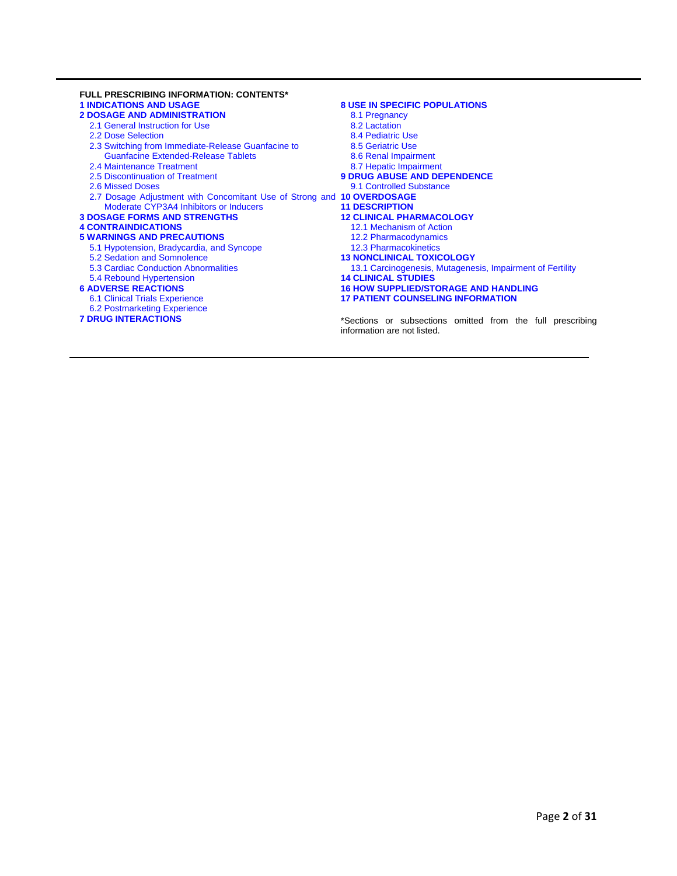<span id="page-1-0"></span>

| <b>FULL PRESCRIBING INFORMATION: CONTENTS*</b>                         |                                                                                           |
|------------------------------------------------------------------------|-------------------------------------------------------------------------------------------|
| <b>1 INDICATIONS AND USAGE</b>                                         | <b>8 USE IN SPECIFIC POPULATIONS</b>                                                      |
| <b>2 DOSAGE AND ADMINISTRATION</b>                                     | 8.1 Pregnancy                                                                             |
| 2.1 General Instruction for Use                                        | 8.2 Lactation                                                                             |
| 2.2 Dose Selection                                                     | 8.4 Pediatric Use                                                                         |
| 2.3 Switching from Immediate-Release Guanfacine to                     | 8.5 Geriatric Use                                                                         |
| <b>Guanfacine Extended-Release Tablets</b>                             | 8.6 Renal Impairment                                                                      |
| 2.4 Maintenance Treatment                                              | 8.7 Hepatic Impairment                                                                    |
| 2.5 Discontinuation of Treatment                                       | <b>9 DRUG ABUSE AND DEPENDENCE</b>                                                        |
| 2.6 Missed Doses                                                       | 9.1 Controlled Substance                                                                  |
| 2.7 Dosage Adjustment with Concomitant Use of Strong and 10 OVERDOSAGE |                                                                                           |
| Moderate CYP3A4 Inhibitors or Inducers                                 | <b>11 DESCRIPTION</b>                                                                     |
| <b>3 DOSAGE FORMS AND STRENGTHS</b>                                    | <b>12 CLINICAL PHARMACOLOGY</b>                                                           |
| <b>4 CONTRAINDICATIONS</b>                                             | 12.1 Mechanism of Action                                                                  |
| <b>5 WARNINGS AND PRECAUTIONS</b>                                      | 12.2 Pharmacodynamics                                                                     |
| 5.1 Hypotension, Bradycardia, and Syncope                              | <b>12.3 Pharmacokinetics</b>                                                              |
| 5.2 Sedation and Somnolence                                            | <b>13 NONCLINICAL TOXICOLOGY</b>                                                          |
| 5.3 Cardiac Conduction Abnormalities                                   | 13.1 Carcinogenesis, Mutagenesis, Impairment of Fertility                                 |
| 5.4 Rebound Hypertension                                               | <b>14 CLINICAL STUDIES</b>                                                                |
| <b>6 ADVERSE REACTIONS</b>                                             | <b>16 HOW SUPPLIED/STORAGE AND HANDLING</b>                                               |
| 6.1 Clinical Trials Experience                                         | <b>17 PATIENT COUNSELING INFORMATION</b>                                                  |
| 6.2 Postmarketing Experience                                           |                                                                                           |
| <b>7 DRUG INTERACTIONS</b>                                             | *Sections or subsections omitted from the full prescribing<br>information are not listed. |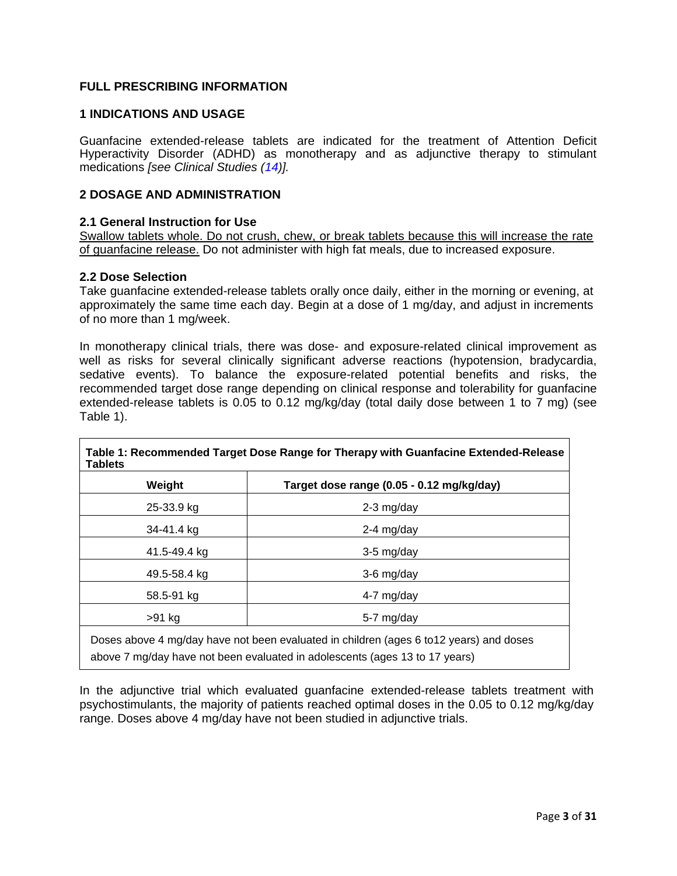# **FULL PRESCRIBING INFORMATION**

# <span id="page-2-0"></span>**1 INDICATIONS AND USAGE**

Guanfacine extended-release tablets are indicated for the treatment of Attention Deficit Hyperactivity Disorder (ADHD) as monotherapy and as adjunctive therapy to stimulant medications *[see Clinical Studies [\(14\)](#page-20-0)].*

# <span id="page-2-3"></span>**2 DOSAGE AND ADMINISTRATION**

### <span id="page-2-2"></span>**2.1 General Instruction for Use**

Swallow tablets whole. Do not crush, chew, or break tablets because this will increase the rate of guanfacine release. Do not administer with high fat meals, due to increased exposure.

### <span id="page-2-1"></span>**2.2 Dose Selection**

 $\mathsf{L}$ 

Take guanfacine extended-release tablets orally once daily, either in the morning or evening, at approximately the same time each day. Begin at a dose of 1 mg/day, and adjust in increments of no more than 1 mg/week.

In monotherapy clinical trials, there was dose- and exposure-related clinical improvement as well as risks for several clinically significant adverse reactions (hypotension, bradycardia, sedative events). To balance the exposure-related potential benefits and risks, the recommended target dose range depending on clinical response and tolerability for guanfacine extended-release tablets is 0.05 to 0.12 mg/kg/day (total daily dose between 1 to 7 mg) (see Table 1).

| Weight       | Target dose range (0.05 - 0.12 mg/kg/day) |
|--------------|-------------------------------------------|
| 25-33.9 kg   | $2-3$ mg/day                              |
| 34-41.4 kg   | $2-4$ mg/day                              |
| 41.5-49.4 kg | $3-5$ mg/day                              |
| 49.5-58.4 kg | $3-6$ mg/day                              |
| 58.5-91 kg   | 4-7 mg/day                                |
| >91 kg       | 5-7 mg/day                                |

In the adjunctive trial which evaluated guanfacine extended-release tablets treatment with psychostimulants, the majority of patients reached optimal doses in the 0.05 to 0.12 mg/kg/day range. Doses above 4 mg/day have not been studied in adjunctive trials.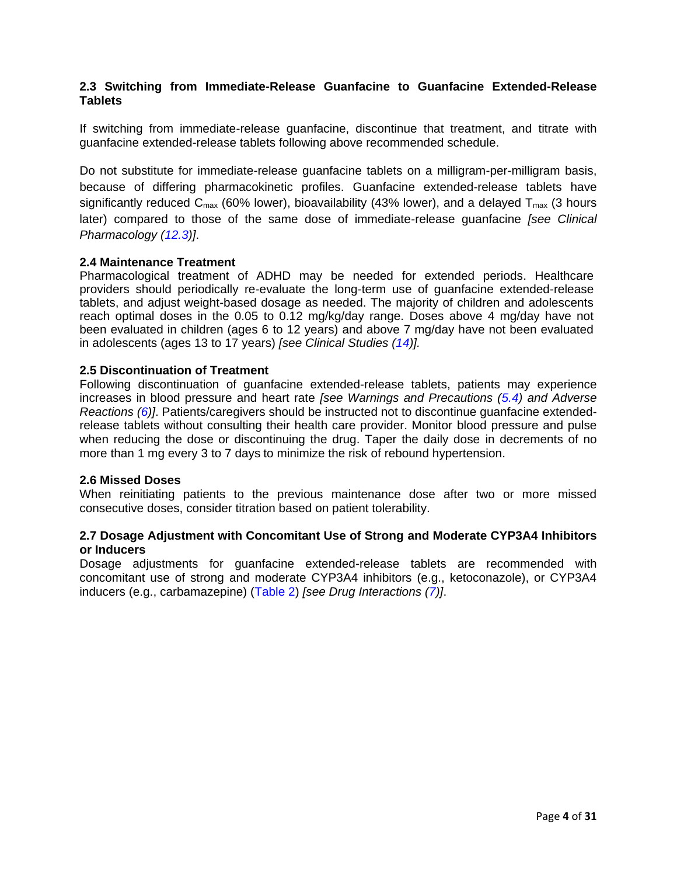# <span id="page-3-0"></span>**2.3 Switching from Immediate-Release Guanfacine to Guanfacine Extended-Release Tablets**

If switching from immediate-release guanfacine, discontinue that treatment, and titrate with guanfacine extended-release tablets following above recommended schedule.

Do not substitute for immediate-release guanfacine tablets on a milligram-per-milligram basis, because of differing pharmacokinetic profiles. Guanfacine extended-release tablets have significantly reduced  $C_{\text{max}}$  (60% lower), bioavailability (43% lower), and a delayed  $T_{\text{max}}$  (3 hours later) compared to those of the same dose of immediate-release guanfacine *[see Clinical Pharmacology [\(12.3\)](#page-17-1)]*.

# <span id="page-3-3"></span>**2.4 Maintenance Treatment**

Pharmacological treatment of ADHD may be needed for extended periods. Healthcare providers should periodically re-evaluate the long-term use of guanfacine extended-release tablets, and adjust weight-based dosage as needed. The majority of children and adolescents reach optimal doses in the 0.05 to 0.12 mg/kg/day range. Doses above 4 mg/day have not been evaluated in children (ages 6 to 12 years) and above 7 mg/day have not been evaluated in adolescents (ages 13 to 17 years) *[see Clinical Studies [\(14\)](#page-20-0)].*

# <span id="page-3-1"></span>**2.5 Discontinuation of Treatment**

Following discontinuation of guanfacine extended-release tablets, patients may experience increases in blood pressure and heart rate *[see Warnings and Precautions [\(5.4\)](#page-5-2) and Adverse Reactions [\(6\)](#page-5-3)]*. Patients/caregivers should be instructed not to discontinue guanfacine extendedrelease tablets without consulting their health care provider. Monitor blood pressure and pulse when reducing the dose or discontinuing the drug. Taper the daily dose in decrements of no more than 1 mg every 3 to 7 days to minimize the risk of rebound hypertension.

# <span id="page-3-4"></span>**2.6 Missed Doses**

When reinitiating patients to the previous maintenance dose after two or more missed consecutive doses, consider titration based on patient tolerability.

# <span id="page-3-2"></span>**2.7 Dosage Adjustment with Concomitant Use of Strong and Moderate CYP3A4 Inhibitors or Inducers**

Dosage adjustments for guanfacine extended-release tablets are recommended with concomitant use of strong and moderate CYP3A4 inhibitors (e.g., ketoconazole), or CYP3A4 inducers (e.g., carbamazepine) [\(Table 2\)](#page-4-4) *[see Drug Interactions [\(7\)](#page-13-1)]*.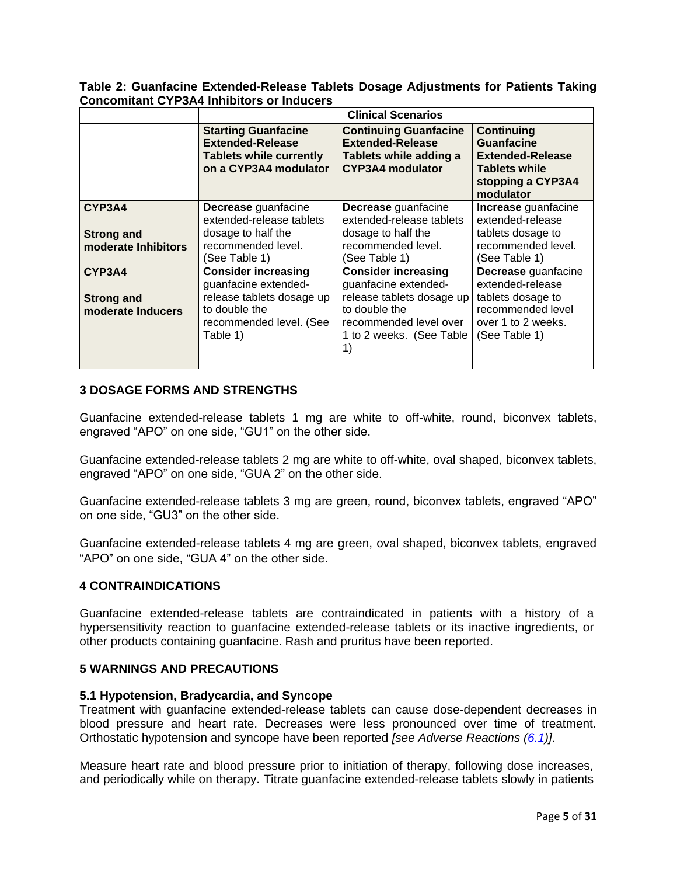<span id="page-4-4"></span>**Table 2: Guanfacine Extended-Release Tablets Dosage Adjustments for Patients Taking Concomitant CYP3A4 Inhibitors or Inducers**

|                                                    |                                                                                                                                         | <b>Clinical Scenarios</b>                                                                                                                                    |                                                                                                                             |
|----------------------------------------------------|-----------------------------------------------------------------------------------------------------------------------------------------|--------------------------------------------------------------------------------------------------------------------------------------------------------------|-----------------------------------------------------------------------------------------------------------------------------|
|                                                    | <b>Starting Guanfacine</b><br><b>Extended-Release</b><br><b>Tablets while currently</b><br>on a CYP3A4 modulator                        | <b>Continuing Guanfacine</b><br><b>Extended-Release</b><br>Tablets while adding a<br>CYP3A4 modulator                                                        | <b>Continuing</b><br><b>Guanfacine</b><br><b>Extended-Release</b><br><b>Tablets while</b><br>stopping a CYP3A4<br>modulator |
| CYP3A4<br><b>Strong and</b><br>moderate Inhibitors | <b>Decrease</b> guanfacine<br>extended-release tablets<br>dosage to half the<br>recommended level.<br>(See Table 1)                     | <b>Decrease</b> guanfacine<br>extended-release tablets<br>dosage to half the<br>recommended level.<br>(See Table 1)                                          | <b>Increase</b> guanfacine<br>extended-release<br>tablets dosage to<br>recommended level.<br>(See Table 1)                  |
| CYP3A4<br><b>Strong and</b><br>moderate Inducers   | <b>Consider increasing</b><br>guanfacine extended-<br>release tablets dosage up<br>to double the<br>recommended level. (See<br>Table 1) | <b>Consider increasing</b><br>guanfacine extended-<br>release tablets dosage up<br>to double the<br>recommended level over<br>1 to 2 weeks. (See Table<br>1) | Decrease guanfacine<br>extended-release<br>tablets dosage to<br>recommended level<br>over 1 to 2 weeks.<br>(See Table 1)    |

# <span id="page-4-0"></span>**3 DOSAGE FORMS AND STRENGTHS**

Guanfacine extended-release tablets 1 mg are white to off-white, round, biconvex tablets, engraved "APO" on one side, "GU1" on the other side.

Guanfacine extended-release tablets 2 mg are white to off-white, oval shaped, biconvex tablets, engraved "APO" on one side, "GUA 2" on the other side.

Guanfacine extended-release tablets 3 mg are green, round, biconvex tablets, engraved "APO" on one side, "GU3" on the other side.

Guanfacine extended-release tablets 4 mg are green, oval shaped, biconvex tablets, engraved "APO" on one side, "GUA 4" on the other side.

# <span id="page-4-1"></span>**4 CONTRAINDICATIONS**

Guanfacine extended-release tablets are contraindicated in patients with a history of a hypersensitivity reaction to guanfacine extended-release tablets or its inactive ingredients, or other products containing guanfacine. Rash and pruritus have been reported.

# <span id="page-4-3"></span>**5 WARNINGS AND PRECAUTIONS**

#### <span id="page-4-2"></span>**5.1 Hypotension, Bradycardia, and Syncope**

Treatment with guanfacine extended-release tablets can cause dose-dependent decreases in blood pressure and heart rate. Decreases were less pronounced over time of treatment. Orthostatic hypotension and syncope have been reported *[see Adverse Reactions [\(6.1\)](#page-6-0)]*.

Measure heart rate and blood pressure prior to initiation of therapy, following dose increases, and periodically while on therapy. Titrate guanfacine extended-release tablets slowly in patients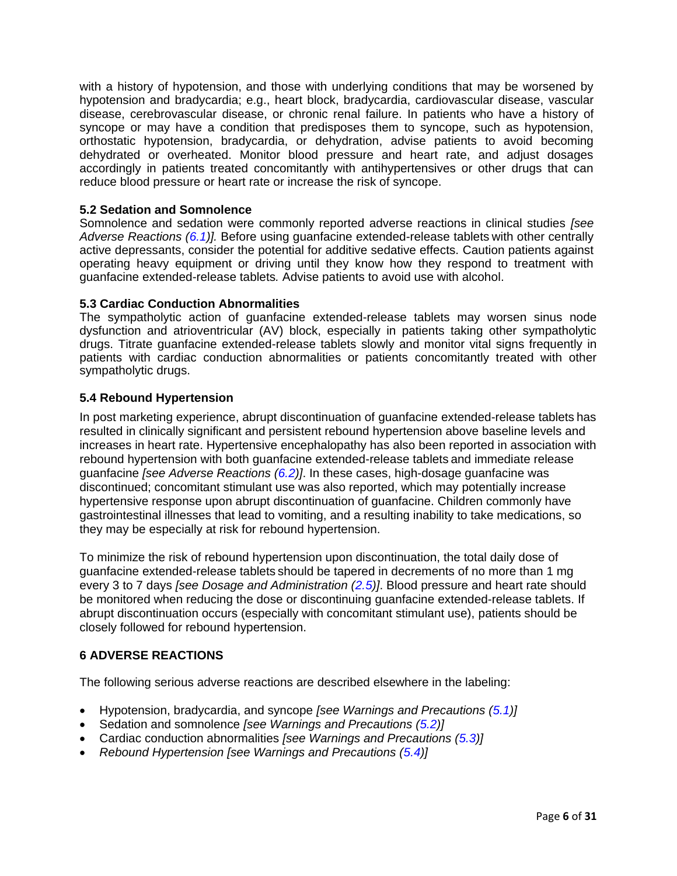with a history of hypotension, and those with underlying conditions that may be worsened by hypotension and bradycardia; e.g., heart block, bradycardia, cardiovascular disease, vascular disease, cerebrovascular disease, or chronic renal failure. In patients who have a history of syncope or may have a condition that predisposes them to syncope, such as hypotension, orthostatic hypotension, bradycardia, or dehydration, advise patients to avoid becoming dehydrated or overheated. Monitor blood pressure and heart rate, and adjust dosages accordingly in patients treated concomitantly with antihypertensives or other drugs that can reduce blood pressure or heart rate or increase the risk of syncope.

# <span id="page-5-0"></span>**5.2 Sedation and Somnolence**

Somnolence and sedation were commonly reported adverse reactions in clinical studies *[see Adverse Reactions [\(6.1\)](#page-6-0)].* Before using guanfacine extended-release tablets with other centrally active depressants, consider the potential for additive sedative effects. Caution patients against operating heavy equipment or driving until they know how they respond to treatment with guanfacine extended-release tablets*.* Advise patients to avoid use with alcohol.

# <span id="page-5-1"></span>**5.3 Cardiac Conduction Abnormalities**

The sympatholytic action of guanfacine extended-release tablets may worsen sinus node dysfunction and atrioventricular (AV) block, especially in patients taking other sympatholytic drugs. Titrate guanfacine extended-release tablets slowly and monitor vital signs frequently in patients with cardiac conduction abnormalities or patients concomitantly treated with other sympatholytic drugs.

# <span id="page-5-2"></span>**5.4 Rebound Hypertension**

In post marketing experience, abrupt discontinuation of guanfacine extended-release tablets has resulted in clinically significant and persistent rebound hypertension above baseline levels and increases in heart rate. Hypertensive encephalopathy has also been reported in association with rebound hypertension with both guanfacine extended-release tablets and immediate release guanfacine *[see Adverse Reactions [\(6.2\)](#page-13-0)]*. In these cases, high-dosage guanfacine was discontinued; concomitant stimulant use was also reported, which may potentially increase hypertensive response upon abrupt discontinuation of guanfacine. Children commonly have gastrointestinal illnesses that lead to vomiting, and a resulting inability to take medications, so they may be especially at risk for rebound hypertension.

To minimize the risk of rebound hypertension upon discontinuation, the total daily dose of guanfacine extended-release tablets should be tapered in decrements of no more than 1 mg every 3 to 7 days *[see Dosage and Administration [\(2.5\)](#page-3-1)]*. Blood pressure and heart rate should be monitored when reducing the dose or discontinuing guanfacine extended-release tablets. If abrupt discontinuation occurs (especially with concomitant stimulant use), patients should be closely followed for rebound hypertension.

# <span id="page-5-3"></span>**6 ADVERSE REACTIONS**

The following serious adverse reactions are described elsewhere in the labeling:

- Hypotension, bradycardia, and syncope *[see Warnings and Precautions [\(5.1\)](#page-4-2)]*
- Sedation and somnolence *[see Warnings and Precautions [\(5.2\)](#page-5-0)]*
- Cardiac conduction abnormalities *[see Warnings and Precautions [\(5.3\)](#page-5-1)]*
- *Rebound Hypertension [see Warnings and Precautions [\(5.4\)](#page-5-2)*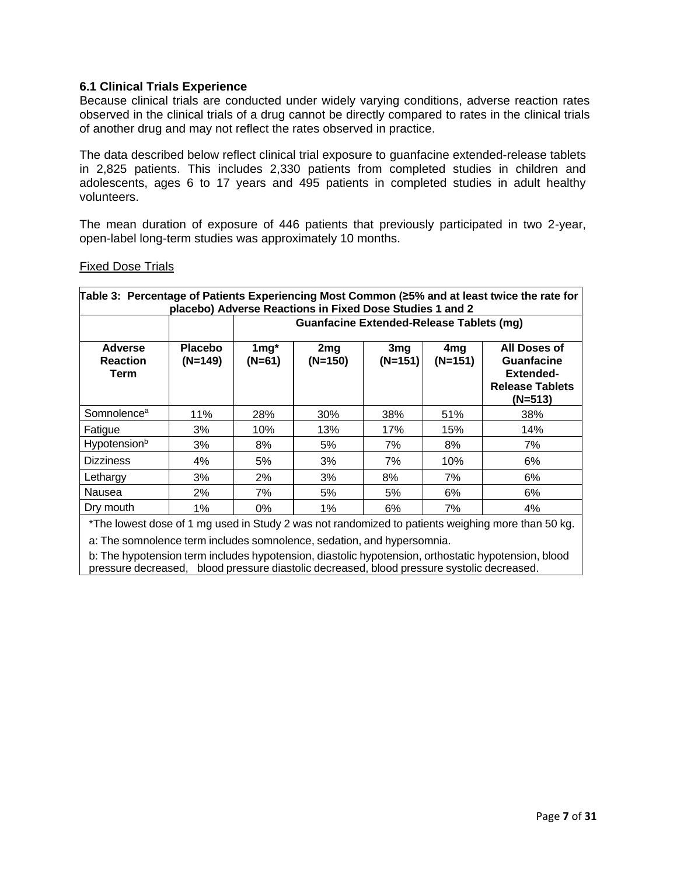# <span id="page-6-0"></span>**6.1 Clinical Trials Experience**

Because clinical trials are conducted under widely varying conditions, adverse reaction rates observed in the clinical trials of a drug cannot be directly compared to rates in the clinical trials of another drug and may not reflect the rates observed in practice.

The data described below reflect clinical trial exposure to guanfacine extended-release tablets in 2,825 patients. This includes 2,330 patients from completed studies in children and adolescents, ages 6 to 17 years and 495 patients in completed studies in adult healthy volunteers.

The mean duration of exposure of 446 patients that previously participated in two 2-year, open-label long-term studies was approximately 10 months.

# Fixed Dose Trials

| Table 3: Percentage of Patients Experiencing Most Common (≥5% and at least twice the rate for<br>placebo) Adverse Reactions in Fixed Dose Studies 1 and 2 |                             |                                                                                                                                                                                                         |                                                 |     |     |     |  |  |
|-----------------------------------------------------------------------------------------------------------------------------------------------------------|-----------------------------|---------------------------------------------------------------------------------------------------------------------------------------------------------------------------------------------------------|-------------------------------------------------|-----|-----|-----|--|--|
|                                                                                                                                                           |                             |                                                                                                                                                                                                         | <b>Guanfacine Extended-Release Tablets (mg)</b> |     |     |     |  |  |
| Adverse<br><b>Reaction</b><br>Term                                                                                                                        | <b>Placebo</b><br>$(N=149)$ | $1mg^*$<br>All Doses of<br>2 <sub>mg</sub><br>3mg<br>4 <sub>mg</sub><br>$(N=151)$<br>$(N=150)$<br>$(N=151)$<br>$(N=61)$<br><b>Guanfacine</b><br><b>Extended-</b><br><b>Release Tablets</b><br>$(N=513)$ |                                                 |     |     |     |  |  |
| Somnolence <sup>a</sup>                                                                                                                                   | 11%                         | 28%                                                                                                                                                                                                     | 30%                                             | 38% | 51% | 38% |  |  |
| Fatigue                                                                                                                                                   | 3%                          | 10%                                                                                                                                                                                                     | 13%                                             | 17% | 15% | 14% |  |  |
| Hypotension <sup>b</sup>                                                                                                                                  | 3%                          | 8%                                                                                                                                                                                                      | 5%                                              | 7%  | 8%  | 7%  |  |  |
| <b>Dizziness</b>                                                                                                                                          | 4%                          | 5%                                                                                                                                                                                                      | 3%                                              | 7%  | 10% | 6%  |  |  |
| Lethargy                                                                                                                                                  | 3%                          | 2%                                                                                                                                                                                                      | 3%                                              | 8%  | 7%  | 6%  |  |  |
| Nausea                                                                                                                                                    | 2%                          | 7%                                                                                                                                                                                                      | 5%                                              | 5%  | 6%  | 6%  |  |  |
| Dry mouth                                                                                                                                                 | 1%                          | 0%                                                                                                                                                                                                      | 1%                                              | 6%  | 7%  | 4%  |  |  |

\*The lowest dose of 1 mg used in Study 2 was not randomized to patients weighing more than 50 kg.

a: The somnolence term includes somnolence, sedation, and hypersomnia.

b: The hypotension term includes hypotension, diastolic hypotension, orthostatic hypotension, blood pressure decreased, blood pressure diastolic decreased, blood pressure systolic decreased.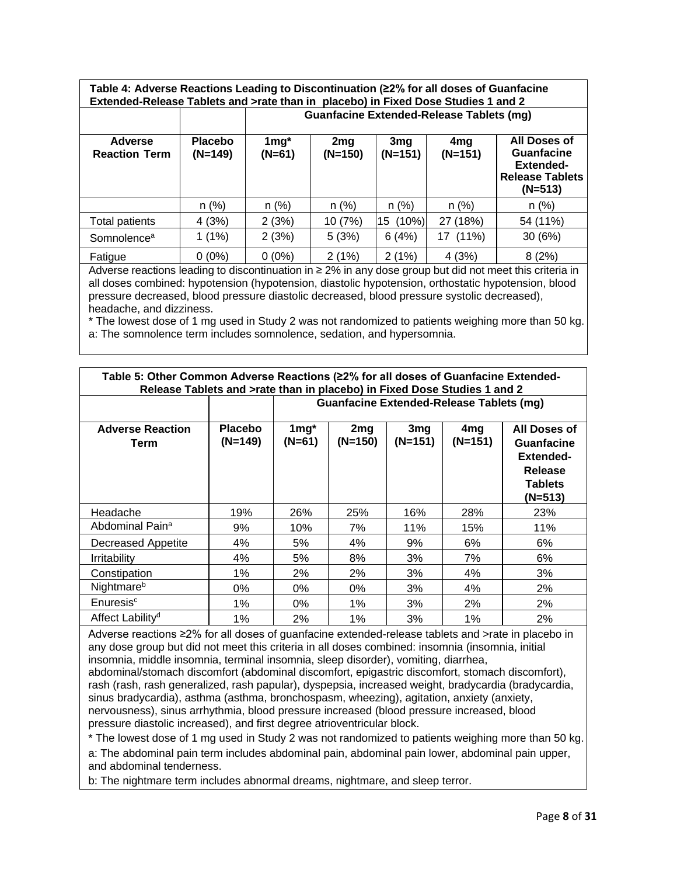**Table 4: Adverse Reactions Leading to Discontinuation (≥2% for all doses of Guanfacine Extended-Release Tablets and >rate than in placebo) in Fixed Dose Studies 1 and 2 Guanfacine Extended-Release Tablets (mg)**

|                                        |                             | Guaniachte Extended-Release Tablets (1119) |                  |                              |                              |                                                                                                     |  |
|----------------------------------------|-----------------------------|--------------------------------------------|------------------|------------------------------|------------------------------|-----------------------------------------------------------------------------------------------------|--|
| <b>Adverse</b><br><b>Reaction Term</b> | <b>Placebo</b><br>$(N=149)$ | $1mg^*$<br>$(N=61)$                        | 2mg<br>$(N=150)$ | 3 <sub>mg</sub><br>$(N=151)$ | 4 <sub>mg</sub><br>$(N=151)$ | <b>All Doses of</b><br><b>Guanfacine</b><br><b>Extended-</b><br><b>Release Tablets</b><br>$(N=513)$ |  |
|                                        | $n$ (%)                     | $n$ (%)                                    | n (%)            | n(%)                         | $n$ (%)                      | $n$ (%)                                                                                             |  |
| Total patients                         | 4(3%)                       | 2(3%)                                      | 10 (7%)          | (10%)<br>15                  | 27 (18%)                     | 54 (11%)                                                                                            |  |
| Somnolence <sup>a</sup>                | $1(1\%)$                    | 2(3%)                                      | 5(3%)            | 6(4%)                        | 17 (11%)                     | 30(6%)                                                                                              |  |
| Fatigue                                | $0(0\%)$                    | $0(0\%)$                                   | 2(1%)            | 2(1%)                        | 4(3%)                        | 8(2%)                                                                                               |  |

Adverse reactions leading to discontinuation in ≥ 2% in any dose group but did not meet this criteria in all doses combined: hypotension (hypotension, diastolic hypotension, orthostatic hypotension, blood pressure decreased, blood pressure diastolic decreased, blood pressure systolic decreased), headache, and dizziness.

\* The lowest dose of 1 mg used in Study 2 was not randomized to patients weighing more than 50 kg. a: The somnolence term includes somnolence, sedation, and hypersomnia.

| Table 5: Other Common Adverse Reactions (≥2% for all doses of Guanfacine Extended-<br>Release Tablets and >rate than in placebo) in Fixed Dose Studies 1 and 2 |                      |                   |                                                 |                            |                  |                                                                                          |  |
|----------------------------------------------------------------------------------------------------------------------------------------------------------------|----------------------|-------------------|-------------------------------------------------|----------------------------|------------------|------------------------------------------------------------------------------------------|--|
|                                                                                                                                                                |                      |                   | <b>Guanfacine Extended-Release Tablets (mg)</b> |                            |                  |                                                                                          |  |
| <b>Adverse Reaction</b><br>Term                                                                                                                                | Placebo<br>$(N=149)$ | $1mg^*$<br>(N=61) | 2mg<br>(N=150)                                  | 3 <sub>mg</sub><br>(N=151) | 4mg<br>$(N=151)$ | All Doses of<br>Guanfacine<br><b>Extended-</b><br>Release<br><b>Tablets</b><br>$(N=513)$ |  |
| Headache                                                                                                                                                       | 19%                  | 26%               | 25%                                             | 16%                        | 28%              | 23%                                                                                      |  |
| Abdominal Pain <sup>a</sup>                                                                                                                                    | 9%                   | 10%               | 7%                                              | 11%                        | 15%              | 11%                                                                                      |  |
| Decreased Appetite                                                                                                                                             | 4%                   | 5%                | 4%                                              | 9%                         | 6%               | 6%                                                                                       |  |
| Irritability                                                                                                                                                   | 4%                   | 5%                | 8%                                              | 3%                         | 7%               | 6%                                                                                       |  |
| Constipation                                                                                                                                                   | 1%                   | 2%                | 2%                                              | 3%                         | 4%               | 3%                                                                                       |  |
| Nightmare <sup>b</sup>                                                                                                                                         | $0\%$                | $0\%$             | $0\%$                                           | 3%                         | 4%               | 2%                                                                                       |  |
| Enuresis <sup>c</sup>                                                                                                                                          | $1\%$                | 0%                | $1\%$                                           | 3%                         | 2%               | 2%                                                                                       |  |
| Affect Lability <sup>d</sup>                                                                                                                                   | 1%                   | 2%                | 1%                                              | 3%                         | 1%               | 2%                                                                                       |  |

Adverse reactions ≥2% for all doses of guanfacine extended-release tablets and >rate in placebo in any dose group but did not meet this criteria in all doses combined: insomnia (insomnia, initial insomnia, middle insomnia, terminal insomnia, sleep disorder), vomiting, diarrhea,

abdominal/stomach discomfort (abdominal discomfort, epigastric discomfort, stomach discomfort), rash (rash, rash generalized, rash papular), dyspepsia, increased weight, bradycardia (bradycardia, sinus bradycardia), asthma (asthma, bronchospasm, wheezing), agitation, anxiety (anxiety, nervousness), sinus arrhythmia, blood pressure increased (blood pressure increased, blood pressure diastolic increased), and first degree atrioventricular block.

\* The lowest dose of 1 mg used in Study 2 was not randomized to patients weighing more than 50 kg. a: The abdominal pain term includes abdominal pain, abdominal pain lower, abdominal pain upper, and abdominal tenderness.

b: The nightmare term includes abnormal dreams, nightmare, and sleep terror.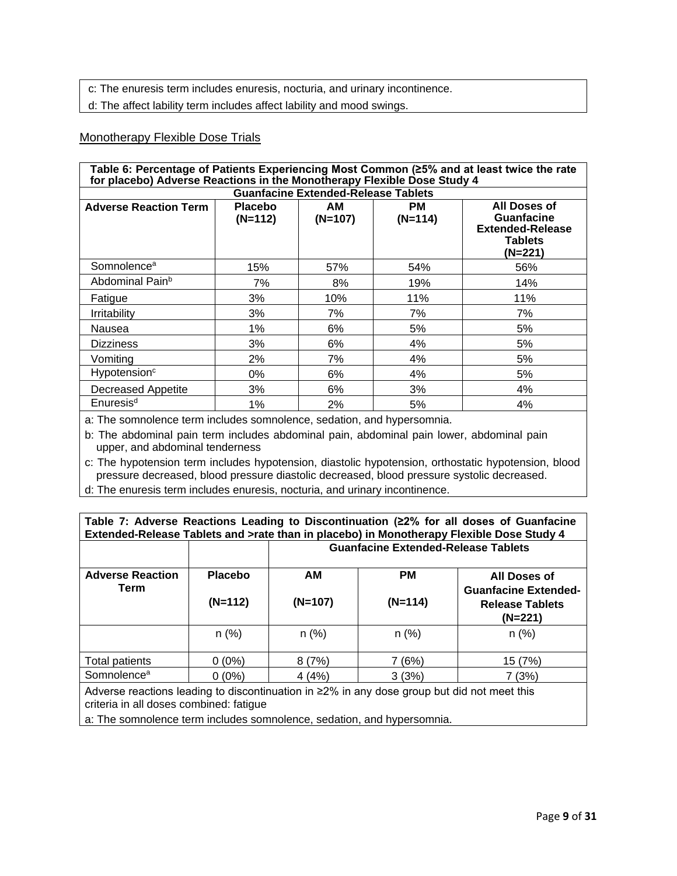c: The enuresis term includes enuresis, nocturia, and urinary incontinence.

d: The affect lability term includes affect lability and mood swings.

### Monotherapy Flexible Dose Trials

| Table 6: Percentage of Patients Experiencing Most Common (≥5% and at least twice the rate<br>for placebo) Adverse Reactions in the Monotherapy Flexible Dose Study 4 |                             |                                            |                        |                                                                                           |  |
|----------------------------------------------------------------------------------------------------------------------------------------------------------------------|-----------------------------|--------------------------------------------|------------------------|-------------------------------------------------------------------------------------------|--|
|                                                                                                                                                                      |                             | <b>Guanfacine Extended-Release Tablets</b> |                        |                                                                                           |  |
| <b>Adverse Reaction Term</b>                                                                                                                                         | <b>Placebo</b><br>$(N=112)$ | AМ<br>$(N=107)$                            | <b>PM</b><br>$(N=114)$ | All Doses of<br><b>Guanfacine</b><br><b>Extended-Release</b><br><b>Tablets</b><br>(N=221) |  |
| Somnolence <sup>a</sup>                                                                                                                                              | 15%                         | 57%                                        | 54%                    | 56%                                                                                       |  |
| Abdominal Pain <sup>b</sup>                                                                                                                                          | 7%                          | 8%                                         | 19%                    | 14%                                                                                       |  |
| Fatigue                                                                                                                                                              | 3%                          | 10%                                        | 11%                    | 11%                                                                                       |  |
| <b>Irritability</b>                                                                                                                                                  | 3%                          | 7%                                         | 7%                     | 7%                                                                                        |  |
| Nausea                                                                                                                                                               | $1\%$                       | 6%                                         | 5%                     | 5%                                                                                        |  |
| <b>Dizziness</b>                                                                                                                                                     | 3%                          | 6%                                         | 4%                     | 5%                                                                                        |  |
| Vomiting                                                                                                                                                             | 2%                          | 7%                                         | 4%                     | 5%                                                                                        |  |
| Hypotension <sup>c</sup>                                                                                                                                             | 0%                          | 6%                                         | 4%                     | 5%                                                                                        |  |
| <b>Decreased Appetite</b>                                                                                                                                            | 3%                          | 6%                                         | 3%                     | 4%                                                                                        |  |
| Enuresis <sup>d</sup>                                                                                                                                                | 1%                          | 2%                                         | 5%                     | 4%                                                                                        |  |

a: The somnolence term includes somnolence, sedation, and hypersomnia.

b: The abdominal pain term includes abdominal pain, abdominal pain lower, abdominal pain upper, and abdominal tenderness

c: The hypotension term includes hypotension, diastolic hypotension, orthostatic hypotension, blood pressure decreased, blood pressure diastolic decreased, blood pressure systolic decreased.

d: The enuresis term includes enuresis, nocturia, and urinary incontinence.

| Table 7: Adverse Reactions Leading to Discontinuation (22% for all doses of Guanfacine<br>Extended-Release Tablets and >rate than in placebo) in Monotherapy Flexible Dose Study 4 |                |                                                                                                                               |         |         |  |  |  |
|------------------------------------------------------------------------------------------------------------------------------------------------------------------------------------|----------------|-------------------------------------------------------------------------------------------------------------------------------|---------|---------|--|--|--|
|                                                                                                                                                                                    |                | <b>Guanfacine Extended-Release Tablets</b>                                                                                    |         |         |  |  |  |
| <b>Adverse Reaction</b><br>Term                                                                                                                                                    | <b>Placebo</b> | <b>PM</b><br>AM<br>All Doses of<br><b>Guanfacine Extended-</b><br>$(N=107)$<br>$(N=114)$<br><b>Release Tablets</b><br>(N=221) |         |         |  |  |  |
|                                                                                                                                                                                    | $(N=112)$      |                                                                                                                               |         |         |  |  |  |
|                                                                                                                                                                                    | $n$ (%)        | n(%)                                                                                                                          | $n$ (%) | $n$ (%) |  |  |  |
| Total patients                                                                                                                                                                     | $0(0\%)$       | 8(7%)                                                                                                                         | 7 (6%)  | 15 (7%) |  |  |  |
| Somnolence <sup>a</sup>                                                                                                                                                            | $0(0\%)$       | 4(4%)                                                                                                                         | 3(3%)   | 7(3%)   |  |  |  |
| Adverse reactions leading to discontinuation in $\geq 2\%$ in any dose group but did not meet this<br>criteria in all doses combined: fatigue                                      |                |                                                                                                                               |         |         |  |  |  |

a: The somnolence term includes somnolence, sedation, and hypersomnia.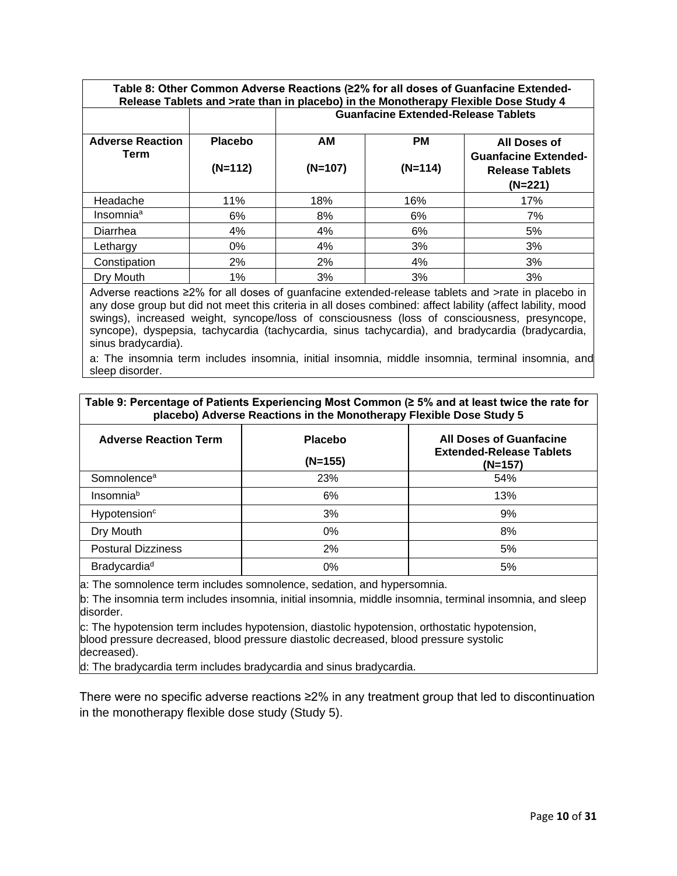**Table 8: Other Common Adverse Reactions (≥2% for all doses of Guanfacine Extended-Release Tablets and >rate than in placebo) in the Monotherapy Flexible Dose Study 4 Guanfacine Extended-Release Tablets**

| <b>Adverse Reaction</b><br>Term | <b>Placebo</b><br>$(N=112)$ | AM<br>$(N=107)$ | <b>PM</b><br>$(N=114)$ | All Doses of<br><b>Guanfacine Extended-</b><br><b>Release Tablets</b><br>(N=221) |
|---------------------------------|-----------------------------|-----------------|------------------------|----------------------------------------------------------------------------------|
|                                 |                             |                 |                        |                                                                                  |
| Headache                        | 11%                         | 18%             | 16%                    | 17%                                                                              |
| Insomnia <sup>a</sup>           | 6%                          | 8%              | 6%                     | 7%                                                                               |
| Diarrhea                        | 4%                          | 4%              | 6%                     | 5%                                                                               |
| Lethargy                        | $0\%$                       | 4%              | 3%                     | 3%                                                                               |
| Constipation                    | 2%                          | 2%              | 4%                     | 3%                                                                               |
| Dry Mouth                       | 1%                          | 3%              | 3%                     | 3%                                                                               |

Adverse reactions ≥2% for all doses of guanfacine extended-release tablets and >rate in placebo in any dose group but did not meet this criteria in all doses combined: affect lability (affect lability, mood swings), increased weight, syncope/loss of consciousness (loss of consciousness, presyncope, syncope), dyspepsia, tachycardia (tachycardia, sinus tachycardia), and bradycardia (bradycardia, sinus bradycardia).

a: The insomnia term includes insomnia, initial insomnia, middle insomnia, terminal insomnia, and sleep disorder.

| Table 9: Percentage of Patients Experiencing Most Common (≥ 5% and at least twice the rate for<br>placebo) Adverse Reactions in the Monotherapy Flexible Dose Study 5 |                             |                                                                              |  |  |  |
|-----------------------------------------------------------------------------------------------------------------------------------------------------------------------|-----------------------------|------------------------------------------------------------------------------|--|--|--|
| <b>Adverse Reaction Term</b>                                                                                                                                          | <b>Placebo</b><br>$(N=155)$ | <b>All Doses of Guanfacine</b><br><b>Extended-Release Tablets</b><br>(N=157) |  |  |  |
| Somnolence <sup>a</sup>                                                                                                                                               | 23%                         | 54%                                                                          |  |  |  |
| Insomniab                                                                                                                                                             | 6%                          | 13%                                                                          |  |  |  |
| Hypotension <sup>c</sup>                                                                                                                                              | 3%                          | 9%                                                                           |  |  |  |
| Dry Mouth                                                                                                                                                             | $0\%$                       | 8%                                                                           |  |  |  |
| <b>Postural Dizziness</b>                                                                                                                                             | 2%                          | 5%                                                                           |  |  |  |
| Bradycardia <sup>d</sup>                                                                                                                                              | 0%                          | 5%                                                                           |  |  |  |

a: The somnolence term includes somnolence, sedation, and hypersomnia.

b: The insomnia term includes insomnia, initial insomnia, middle insomnia, terminal insomnia, and sleep disorder.

c: The hypotension term includes hypotension, diastolic hypotension, orthostatic hypotension, blood pressure decreased, blood pressure diastolic decreased, blood pressure systolic decreased).

d: The bradycardia term includes bradycardia and sinus bradycardia.

There were no specific adverse reactions ≥2% in any treatment group that led to discontinuation in the monotherapy flexible dose study (Study 5).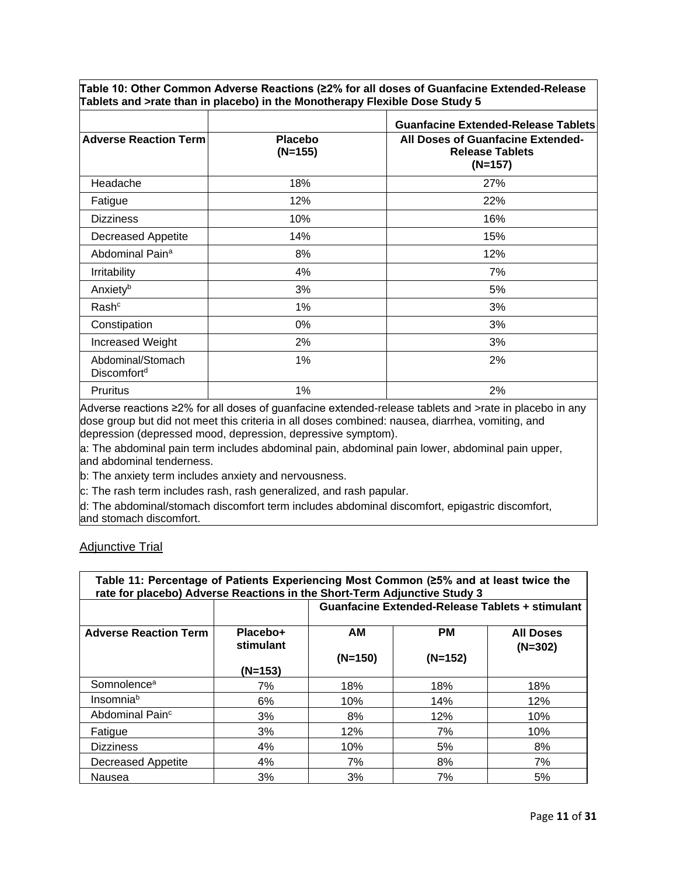**Table 10: Other Common Adverse Reactions (≥2% for all doses of Guanfacine Extended-Release Tablets and >rate than in placebo) in the Monotherapy Flexible Dose Study 5**

|                                              |                             | <b>Guanfacine Extended-Release Tablets</b>                                      |
|----------------------------------------------|-----------------------------|---------------------------------------------------------------------------------|
| <b>Adverse Reaction Term</b>                 | <b>Placebo</b><br>$(N=155)$ | <b>All Doses of Guanfacine Extended-</b><br><b>Release Tablets</b><br>$(N=157)$ |
| Headache                                     | 18%                         | 27%                                                                             |
| Fatigue                                      | 12%                         | 22%                                                                             |
| <b>Dizziness</b>                             | 10%                         | 16%                                                                             |
| Decreased Appetite                           | 14%                         | 15%                                                                             |
| Abdominal Pain <sup>a</sup>                  | 8%                          | 12%                                                                             |
| <b>Irritability</b>                          | 4%                          | 7%                                                                              |
| Anxiety <sup>b</sup>                         | 3%                          | 5%                                                                              |
| Rash <sup>c</sup>                            | 1%                          | 3%                                                                              |
| Constipation                                 | 0%                          | 3%                                                                              |
| <b>Increased Weight</b>                      | 2%                          | 3%                                                                              |
| Abdominal/Stomach<br>Discomfort <sup>d</sup> | 1%                          | 2%                                                                              |
| <b>Pruritus</b>                              | 1%                          | 2%                                                                              |

Adverse reactions ≥2% for all doses of guanfacine extended-release tablets and >rate in placebo in any dose group but did not meet this criteria in all doses combined: nausea, diarrhea, vomiting, and depression (depressed mood, depression, depressive symptom).

a: The abdominal pain term includes abdominal pain, abdominal pain lower, abdominal pain upper, and abdominal tenderness.

b: The anxiety term includes anxiety and nervousness.

c: The rash term includes rash, rash generalized, and rash papular.

d: The abdominal/stomach discomfort term includes abdominal discomfort, epigastric discomfort, and stomach discomfort.

### **Adjunctive Trial**

| Table 11: Percentage of Patients Experiencing Most Common (≥5% and at least twice the<br>rate for placebo) Adverse Reactions in the Short-Term Adjunctive Study 3 |                                    |                                                        |                        |                               |  |  |
|-------------------------------------------------------------------------------------------------------------------------------------------------------------------|------------------------------------|--------------------------------------------------------|------------------------|-------------------------------|--|--|
|                                                                                                                                                                   |                                    | <b>Guanfacine Extended-Release Tablets + stimulant</b> |                        |                               |  |  |
| <b>Adverse Reaction Term</b>                                                                                                                                      | Placebo+<br>stimulant<br>$(N=153)$ | AM<br>$(N=150)$                                        | <b>PM</b><br>$(N=152)$ | <b>All Doses</b><br>$(N=302)$ |  |  |
| Somnolence <sup>a</sup>                                                                                                                                           | 7%                                 | 18%                                                    | 18%                    | 18%                           |  |  |
| Insomnia <sup>b</sup>                                                                                                                                             | 6%                                 | 10%                                                    | 14%                    | 12%                           |  |  |
| Abdominal Pain <sup>c</sup>                                                                                                                                       | 3%                                 | 8%                                                     | 12%                    | 10%                           |  |  |
| Fatigue                                                                                                                                                           | 3%                                 | 12%                                                    | 7%                     | 10%                           |  |  |
| <b>Dizziness</b>                                                                                                                                                  | 4%                                 | 10%                                                    | 5%                     | 8%                            |  |  |
| <b>Decreased Appetite</b>                                                                                                                                         | 4%                                 | 7%                                                     | 8%                     | 7%                            |  |  |
| Nausea                                                                                                                                                            | 3%                                 | 3%                                                     | 7%                     | 5%                            |  |  |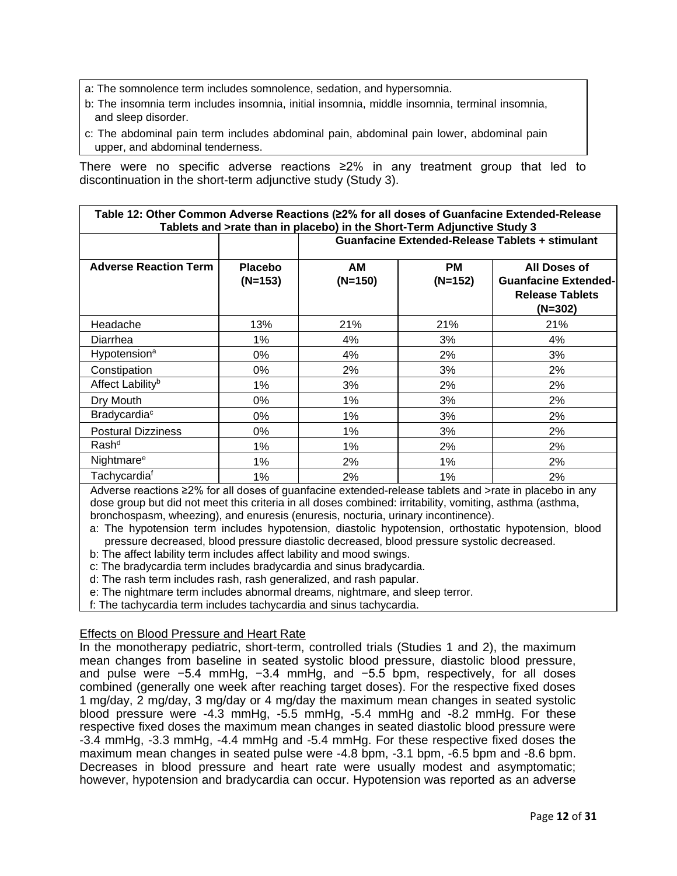- a: The somnolence term includes somnolence, sedation, and hypersomnia.
- b: The insomnia term includes insomnia, initial insomnia, middle insomnia, terminal insomnia, and sleep disorder.
- c: The abdominal pain term includes abdominal pain, abdominal pain lower, abdominal pain upper, and abdominal tenderness.

There were no specific adverse reactions ≥2% in any treatment group that led to discontinuation in the short-term adjunctive study (Study 3).

| Table 12: Other Common Adverse Reactions (≥2% for all doses of Guanfacine Extended-Release |  |  |  |  |  |
|--------------------------------------------------------------------------------------------|--|--|--|--|--|
| Tablets and >rate than in placebo) in the Short-Term Adjunctive Study 3                    |  |  |  |  |  |

|                              | <b>Placebo</b><br>$(N=153)$ | <b>Guanfacine Extended-Release Tablets + stimulant</b> |                 |                                                                                    |  |
|------------------------------|-----------------------------|--------------------------------------------------------|-----------------|------------------------------------------------------------------------------------|--|
| <b>Adverse Reaction Term</b> |                             | АM<br>$(N=150)$                                        | PМ<br>$(N=152)$ | All Doses of<br><b>Guanfacine Extended-</b><br><b>Release Tablets</b><br>$(N=302)$ |  |
| Headache                     | 13%                         | 21%                                                    | 21%             | 21%                                                                                |  |
| Diarrhea                     | 1%                          | 4%                                                     | 3%              | 4%                                                                                 |  |
| Hypotension <sup>a</sup>     | 0%                          | 4%                                                     | 2%              | 3%                                                                                 |  |
| Constipation                 | 0%                          | 2%                                                     | 3%              | 2%                                                                                 |  |
| Affect Lability <sup>b</sup> | $1\%$                       | 3%                                                     | 2%              | 2%                                                                                 |  |
| Dry Mouth                    | 0%                          | 1%                                                     | 3%              | 2%                                                                                 |  |
| Bradycardia <sup>c</sup>     | 0%                          | 1%                                                     | 3%              | 2%                                                                                 |  |
| <b>Postural Dizziness</b>    | 0%                          | 1%                                                     | 3%              | 2%                                                                                 |  |
| Rash <sup>d</sup>            | $1\%$                       | 1%                                                     | 2%              | 2%                                                                                 |  |
| Nightmare <sup>e</sup>       | 1%                          | 2%                                                     | 1%              | 2%                                                                                 |  |
| Tachycardia <sup>f</sup>     | 1%                          | 2%                                                     | 1%              | 2%                                                                                 |  |

Adverse reactions ≥2% for all doses of guanfacine extended-release tablets and >rate in placebo in any dose group but did not meet this criteria in all doses combined: irritability, vomiting, asthma (asthma, bronchospasm, wheezing), and enuresis (enuresis, nocturia, urinary incontinence).

a: The hypotension term includes hypotension, diastolic hypotension, orthostatic hypotension, blood pressure decreased, blood pressure diastolic decreased, blood pressure systolic decreased.

b: The affect lability term includes affect lability and mood swings.

c: The bradycardia term includes bradycardia and sinus bradycardia.

d: The rash term includes rash, rash generalized, and rash papular.

e: The nightmare term includes abnormal dreams, nightmare, and sleep terror.

f: The tachycardia term includes tachycardia and sinus tachycardia.

#### Effects on Blood Pressure and Heart Rate

In the monotherapy pediatric, short-term, controlled trials (Studies 1 and 2), the maximum mean changes from baseline in seated systolic blood pressure, diastolic blood pressure, and pulse were −5.4 mmHg, −3.4 mmHg, and −5.5 bpm, respectively, for all doses combined (generally one week after reaching target doses). For the respective fixed doses 1 mg/day, 2 mg/day, 3 mg/day or 4 mg/day the maximum mean changes in seated systolic blood pressure were -4.3 mmHg, -5.5 mmHg, -5.4 mmHg and -8.2 mmHg. For these respective fixed doses the maximum mean changes in seated diastolic blood pressure were -3.4 mmHg, -3.3 mmHg, -4.4 mmHg and -5.4 mmHg. For these respective fixed doses the maximum mean changes in seated pulse were -4.8 bpm, -3.1 bpm, -6.5 bpm and -8.6 bpm. Decreases in blood pressure and heart rate were usually modest and asymptomatic; however, hypotension and bradycardia can occur. Hypotension was reported as an adverse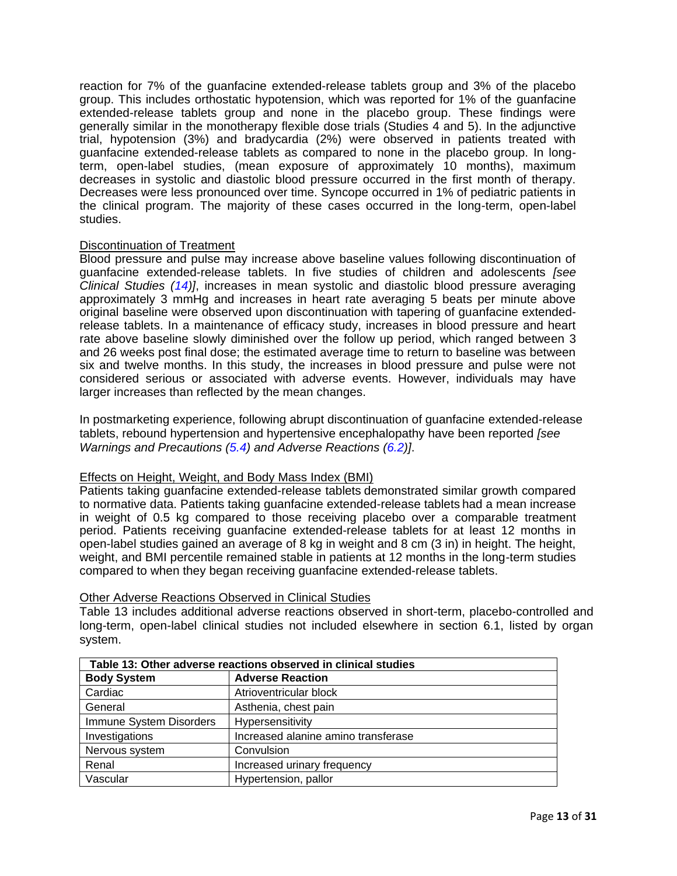reaction for 7% of the guanfacine extended-release tablets group and 3% of the placebo group. This includes orthostatic hypotension, which was reported for 1% of the guanfacine extended-release tablets group and none in the placebo group. These findings were generally similar in the monotherapy flexible dose trials (Studies 4 and 5). In the adjunctive trial, hypotension (3%) and bradycardia (2%) were observed in patients treated with guanfacine extended-release tablets as compared to none in the placebo group. In longterm, open-label studies, (mean exposure of approximately 10 months), maximum decreases in systolic and diastolic blood pressure occurred in the first month of therapy. Decreases were less pronounced over time. Syncope occurred in 1% of pediatric patients in the clinical program. The majority of these cases occurred in the long-term, open-label studies.

# Discontinuation of Treatment

Blood pressure and pulse may increase above baseline values following discontinuation of guanfacine extended-release tablets. In five studies of children and adolescents *[see Clinical Studies [\(14\)](#page-20-0)]*, increases in mean systolic and diastolic blood pressure averaging approximately 3 mmHg and increases in heart rate averaging 5 beats per minute above original baseline were observed upon discontinuation with tapering of guanfacine extendedrelease tablets. In a maintenance of efficacy study, increases in blood pressure and heart rate above baseline slowly diminished over the follow up period, which ranged between 3 and 26 weeks post final dose; the estimated average time to return to baseline was between six and twelve months. In this study, the increases in blood pressure and pulse were not considered serious or associated with adverse events. However, individuals may have larger increases than reflected by the mean changes.

In postmarketing experience, following abrupt discontinuation of guanfacine extended-release tablets, rebound hypertension and hypertensive encephalopathy have been reported *[see Warnings and Precautions [\(5.4\)](#page-5-2) and Adverse Reactions [\(6.2\)](#page-13-0)]*.

# Effects on Height, Weight, and Body Mass Index (BMI)

Patients taking guanfacine extended-release tablets demonstrated similar growth compared to normative data. Patients taking guanfacine extended-release tablets had a mean increase in weight of 0.5 kg compared to those receiving placebo over a comparable treatment period. Patients receiving guanfacine extended-release tablets for at least 12 months in open-label studies gained an average of 8 kg in weight and 8 cm (3 in) in height. The height, weight, and BMI percentile remained stable in patients at 12 months in the long-term studies compared to when they began receiving guanfacine extended-release tablets.

| Table 13: Other adverse reactions observed in clinical studies |                                     |  |  |
|----------------------------------------------------------------|-------------------------------------|--|--|
| <b>Body System</b>                                             | <b>Adverse Reaction</b>             |  |  |
| Cardiac                                                        | Atrioventricular block              |  |  |
| General                                                        | Asthenia, chest pain                |  |  |
| Immune System Disorders                                        | Hypersensitivity                    |  |  |
| Investigations                                                 | Increased alanine amino transferase |  |  |
| Nervous system                                                 | Convulsion                          |  |  |
| Renal                                                          | Increased urinary frequency         |  |  |
| Vascular                                                       | Hypertension, pallor                |  |  |

# Other Adverse Reactions Observed in Clinical Studies

Table 13 includes additional adverse reactions observed in short-term, placebo-controlled and long-term, open-label clinical studies not included elsewhere in section 6.1, listed by organ system.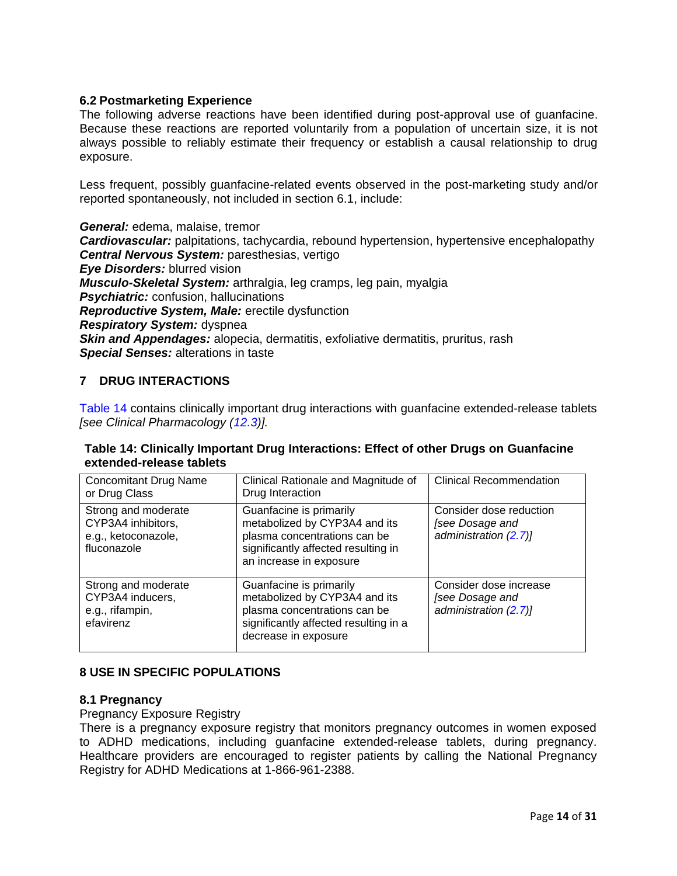# <span id="page-13-0"></span>**6.2 Postmarketing Experience**

The following adverse reactions have been identified during post-approval use of guanfacine. Because these reactions are reported voluntarily from a population of uncertain size, it is not always possible to reliably estimate their frequency or establish a causal relationship to drug exposure.

Less frequent, possibly guanfacine-related events observed in the post-marketing study and/or reported spontaneously, not included in section 6.1, include:

*General:* edema, malaise, tremor *Cardiovascular:* palpitations, tachycardia, rebound hypertension, hypertensive encephalopathy *Central Nervous System:* paresthesias, vertigo *Eye Disorders:* blurred vision *Musculo-Skeletal System:* arthralgia, leg cramps, leg pain, myalgia *Psychiatric:* confusion, hallucinations *Reproductive System, Male:* erectile dysfunction *Respiratory System:* dyspnea **Skin and Appendages:** alopecia, dermatitis, exfoliative dermatitis, pruritus, rash *Special Senses:* alterations in taste

# <span id="page-13-1"></span>**7 DRUG INTERACTIONS**

[Table 14](#page-13-4) contains clinically important drug interactions with guanfacine extended-release tablets *[see Clinical Pharmacology [\(12.3\)](#page-17-1)].*

# <span id="page-13-4"></span>**Table 14: Clinically Important Drug Interactions: Effect of other Drugs on Guanfacine extended-release tablets**

| <b>Concomitant Drug Name</b><br>or Drug Class                                   | Clinical Rationale and Magnitude of<br>Drug Interaction                                                                                                    | <b>Clinical Recommendation</b>                                      |
|---------------------------------------------------------------------------------|------------------------------------------------------------------------------------------------------------------------------------------------------------|---------------------------------------------------------------------|
| Strong and moderate<br>CYP3A4 inhibitors,<br>e.g., ketoconazole,<br>fluconazole | Guanfacine is primarily<br>metabolized by CYP3A4 and its<br>plasma concentrations can be<br>significantly affected resulting in<br>an increase in exposure | Consider dose reduction<br>[see Dosage and<br>administration (2.7)] |
| Strong and moderate<br>CYP3A4 inducers,<br>e.g., rifampin,<br>efavirenz         | Guanfacine is primarily<br>metabolized by CYP3A4 and its<br>plasma concentrations can be<br>significantly affected resulting in a<br>decrease in exposure  | Consider dose increase<br>[see Dosage and<br>administration (2.7)]  |

# <span id="page-13-2"></span>**8 USE IN SPECIFIC POPULATIONS**

# <span id="page-13-3"></span>**8.1 Pregnancy**

Pregnancy Exposure Registry

There is a pregnancy exposure registry that monitors pregnancy outcomes in women exposed to ADHD medications, including guanfacine extended-release tablets, during pregnancy. Healthcare providers are encouraged to register patients by calling the National Pregnancy Registry for ADHD Medications at 1-866-961-2388.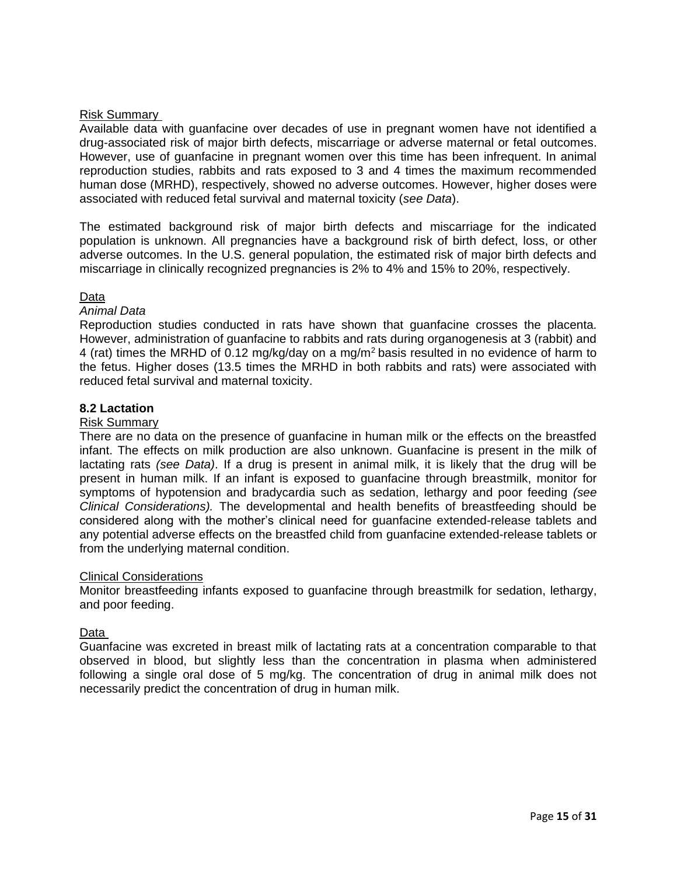# Risk Summary

Available data with guanfacine over decades of use in pregnant women have not identified a drug-associated risk of major birth defects, miscarriage or adverse maternal or fetal outcomes. However, use of guanfacine in pregnant women over this time has been infrequent. In animal reproduction studies, rabbits and rats exposed to 3 and 4 times the maximum recommended human dose (MRHD), respectively, showed no adverse outcomes. However, higher doses were associated with reduced fetal survival and maternal toxicity (*see Data*).

The estimated background risk of major birth defects and miscarriage for the indicated population is unknown. All pregnancies have a background risk of birth defect, loss, or other adverse outcomes. In the U.S. general population, the estimated risk of major birth defects and miscarriage in clinically recognized pregnancies is 2% to 4% and 15% to 20%, respectively.

# Data

# *Animal Data*

Reproduction studies conducted in rats have shown that guanfacine crosses the placenta. However, administration of guanfacine to rabbits and rats during organogenesis at 3 (rabbit) and 4 (rat) times the MRHD of 0.12 mg/kg/day on a mg/m<sup>2</sup>basis resulted in no evidence of harm to the fetus. Higher doses (13.5 times the MRHD in both rabbits and rats) were associated with reduced fetal survival and maternal toxicity.

# <span id="page-14-0"></span>**8.2 Lactation**

# Risk Summary

There are no data on the presence of guanfacine in human milk or the effects on the breastfed infant. The effects on milk production are also unknown. Guanfacine is present in the milk of lactating rats *(see Data)*. If a drug is present in animal milk, it is likely that the drug will be present in human milk. If an infant is exposed to guanfacine through breastmilk, monitor for symptoms of hypotension and bradycardia such as sedation, lethargy and poor feeding *(see Clinical Considerations).* The developmental and health benefits of breastfeeding should be considered along with the mother's clinical need for guanfacine extended-release tablets and any potential adverse effects on the breastfed child from guanfacine extended-release tablets or from the underlying maternal condition.

# Clinical Considerations

Monitor breastfeeding infants exposed to guanfacine through breastmilk for sedation, lethargy, and poor feeding.

# Data

Guanfacine was excreted in breast milk of lactating rats at a concentration comparable to that observed in blood, but slightly less than the concentration in plasma when administered following a single oral dose of 5 mg/kg. The concentration of drug in animal milk does not necessarily predict the concentration of drug in human milk.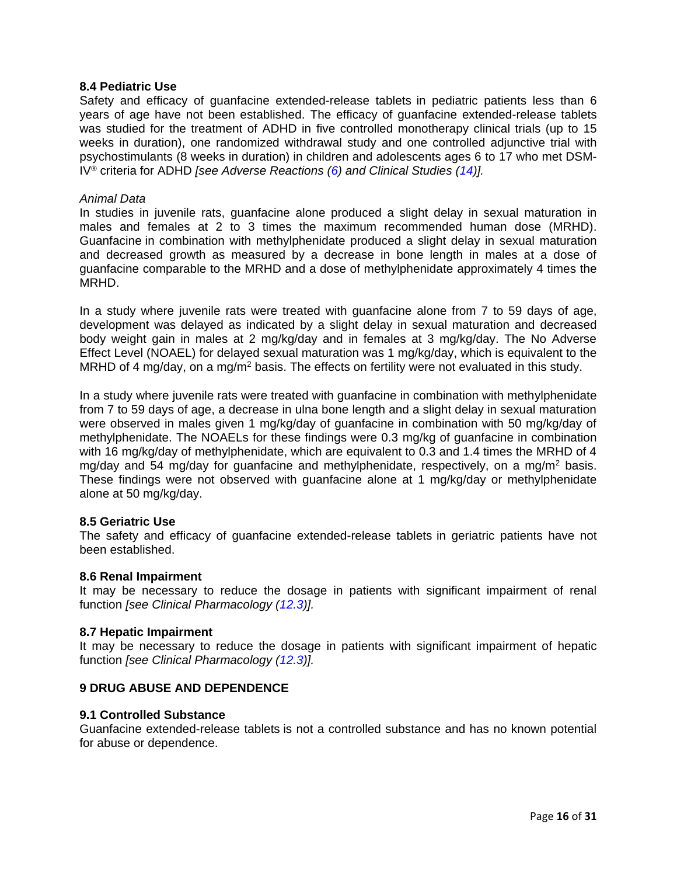### <span id="page-15-0"></span>**8.4 Pediatric Use**

Safety and efficacy of guanfacine extended-release tablets in pediatric patients less than 6 years of age have not been established. The efficacy of guanfacine extended-release tablets was studied for the treatment of ADHD in five controlled monotherapy clinical trials (up to 15 weeks in duration), one randomized withdrawal study and one controlled adjunctive trial with psychostimulants (8 weeks in duration) in children and adolescents ages 6 to 17 who met DSM-IV® criteria for ADHD *[see Adverse Reactions [\(6\)](#page-5-3) and Clinical Studies [\(14\)](#page-20-0)].*

#### *Animal Data*

In studies in juvenile rats, guanfacine alone produced a slight delay in sexual maturation in males and females at 2 to 3 times the maximum recommended human dose (MRHD). Guanfacine in combination with methylphenidate produced a slight delay in sexual maturation and decreased growth as measured by a decrease in bone length in males at a dose of guanfacine comparable to the MRHD and a dose of methylphenidate approximately 4 times the MRHD.

In a study where juvenile rats were treated with guanfacine alone from 7 to 59 days of age, development was delayed as indicated by a slight delay in sexual maturation and decreased body weight gain in males at 2 mg/kg/day and in females at 3 mg/kg/day. The No Adverse Effect Level (NOAEL) for delayed sexual maturation was 1 mg/kg/day, which is equivalent to the MRHD of 4 mg/day, on a mg/m<sup>2</sup> basis. The effects on fertility were not evaluated in this study.

In a study where juvenile rats were treated with guanfacine in combination with methylphenidate from 7 to 59 days of age, a decrease in ulna bone length and a slight delay in sexual maturation were observed in males given 1 mg/kg/day of guanfacine in combination with 50 mg/kg/day of methylphenidate. The NOAELs for these findings were 0.3 mg/kg of guanfacine in combination with 16 mg/kg/day of methylphenidate, which are equivalent to 0.3 and 1.4 times the MRHD of 4 mg/day and 54 mg/day for guanfacine and methylphenidate, respectively, on a mg/m<sup>2</sup> basis. These findings were not observed with guanfacine alone at 1 mg/kg/day or methylphenidate alone at 50 mg/kg/day.

#### <span id="page-15-1"></span>**8.5 Geriatric Use**

The safety and efficacy of guanfacine extended-release tablets in geriatric patients have not been established.

#### <span id="page-15-2"></span>**8.6 Renal Impairment**

It may be necessary to reduce the dosage in patients with significant impairment of renal function *[see Clinical Pharmacology [\(12.3\)](#page-17-1)].*

### <span id="page-15-3"></span>**8.7 Hepatic Impairment**

It may be necessary to reduce the dosage in patients with significant impairment of hepatic function *[see Clinical Pharmacology [\(12.3\)](#page-17-1)].*

# <span id="page-15-4"></span>**9 DRUG ABUSE AND DEPENDENCE**

#### <span id="page-15-5"></span>**9.1 Controlled Substance**

Guanfacine extended-release tablets is not a controlled substance and has no known potential for abuse or dependence.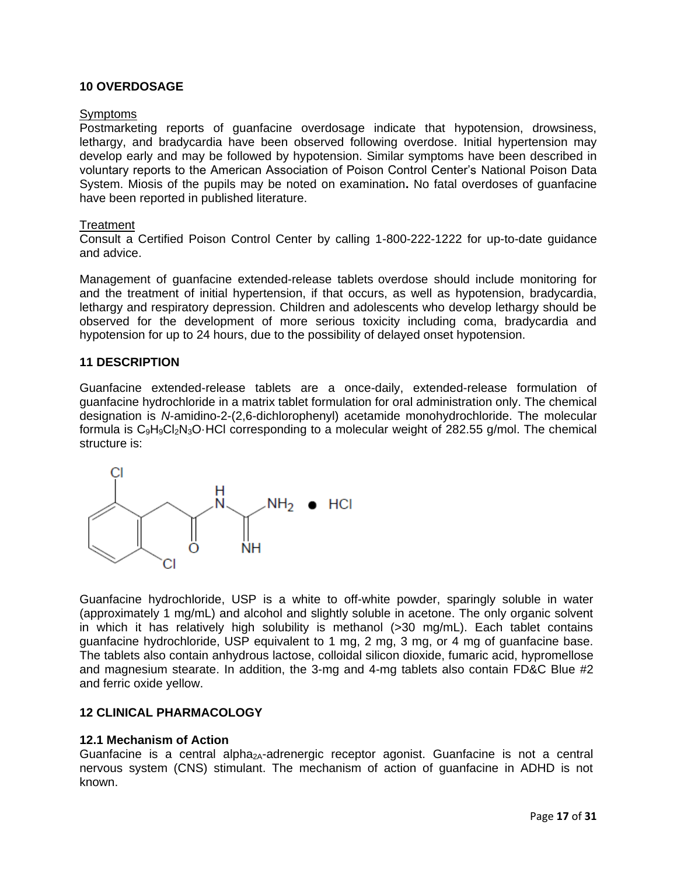### <span id="page-16-0"></span>**10 OVERDOSAGE**

#### **Symptoms**

Postmarketing reports of guanfacine overdosage indicate that hypotension, drowsiness, lethargy, and bradycardia have been observed following overdose. Initial hypertension may develop early and may be followed by hypotension. Similar symptoms have been described in voluntary reports to the American Association of Poison Control Center's National Poison Data System. Miosis of the pupils may be noted on examination**.** No fatal overdoses of guanfacine have been reported in published literature.

#### **Treatment**

Consult a Certified Poison Control Center by calling 1-800-222-1222 for up-to-date guidance and advice.

Management of guanfacine extended-release tablets overdose should include monitoring for and the treatment of initial hypertension, if that occurs, as well as hypotension, bradycardia, lethargy and respiratory depression. Children and adolescents who develop lethargy should be observed for the development of more serious toxicity including coma, bradycardia and hypotension for up to 24 hours, due to the possibility of delayed onset hypotension.

#### <span id="page-16-1"></span>**11 DESCRIPTION**

Guanfacine extended-release tablets are a once-daily, extended-release formulation of guanfacine hydrochloride in a matrix tablet formulation for oral administration only. The chemical designation is *N*-amidino-2-(2,6-dichlorophenyl) acetamide monohydrochloride. The molecular formula is  $C_9H_9CI_2N_3O$  HCl corresponding to a molecular weight of 282.55 g/mol. The chemical structure is:



Guanfacine hydrochloride, USP is a white to off-white powder, sparingly soluble in water (approximately 1 mg/mL) and alcohol and slightly soluble in acetone. The only organic solvent in which it has relatively high solubility is methanol (>30 mg/mL). Each tablet contains guanfacine hydrochloride, USP equivalent to 1 mg, 2 mg, 3 mg, or 4 mg of guanfacine base. The tablets also contain anhydrous lactose, colloidal silicon dioxide, fumaric acid, hypromellose and magnesium stearate. In addition, the 3-mg and 4-mg tablets also contain FD&C Blue #2 and ferric oxide yellow.

# <span id="page-16-2"></span>**12 CLINICAL PHARMACOLOGY**

#### <span id="page-16-3"></span>**12.1 Mechanism of Action**

Guanfacine is a central alpha<sub>2A</sub>-adrenergic receptor agonist. Guanfacine is not a central nervous system (CNS) stimulant. The mechanism of action of guanfacine in ADHD is not known.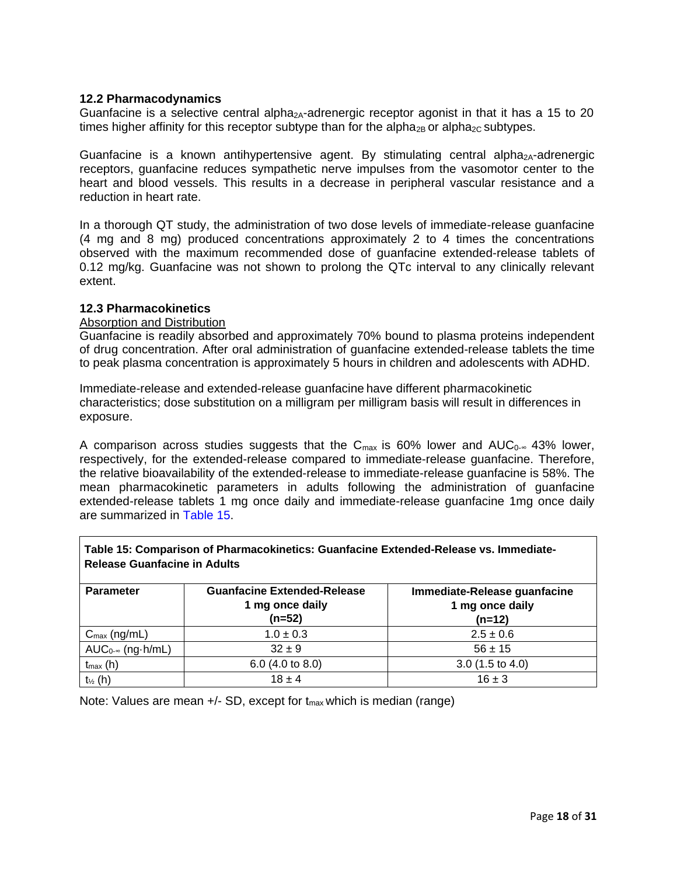# <span id="page-17-0"></span>**12.2 Pharmacodynamics**

Guanfacine is a selective central alpha<sub>2A</sub>-adrenergic receptor agonist in that it has a 15 to 20 times higher affinity for this receptor subtype than for the alpha<sub>2B</sub> or alpha<sub>2C</sub> subtypes.

Guanfacine is a known antihypertensive agent. By stimulating central alpha<sub>2A</sub>-adrenergic receptors, guanfacine reduces sympathetic nerve impulses from the vasomotor center to the heart and blood vessels. This results in a decrease in peripheral vascular resistance and a reduction in heart rate.

In a thorough QT study, the administration of two dose levels of immediate-release guanfacine (4 mg and 8 mg) produced concentrations approximately 2 to 4 times the concentrations observed with the maximum recommended dose of guanfacine extended-release tablets of 0.12 mg/kg. Guanfacine was not shown to prolong the QTc interval to any clinically relevant extent.

### <span id="page-17-1"></span>**12.3 Pharmacokinetics**

### Absorption and Distribution

Guanfacine is readily absorbed and approximately 70% bound to plasma proteins independent of drug concentration. After oral administration of guanfacine extended-release tablets the time to peak plasma concentration is approximately 5 hours in children and adolescents with ADHD.

Immediate-release and extended-release guanfacine have different pharmacokinetic characteristics; dose substitution on a milligram per milligram basis will result in differences in exposure.

A comparison across studies suggests that the C<sub>max</sub> is 60% lower and AUC<sub>0</sub>-∞ 43% lower, respectively, for the extended-release compared to immediate-release guanfacine. Therefore, the relative bioavailability of the extended-release to immediate-release guanfacine is 58%. The mean pharmacokinetic parameters in adults following the administration of guanfacine extended-release tablets 1 mg once daily and immediate-release guanfacine 1mg once daily are summarized in [Table 15.](#page-17-2)

<span id="page-17-2"></span>

| Table 15: Comparison of Pharmacokinetics: Guanfacine Extended-Release vs. Immediate-<br><b>Release Guanfacine in Adults</b> |                                                                   |                                                             |  |  |
|-----------------------------------------------------------------------------------------------------------------------------|-------------------------------------------------------------------|-------------------------------------------------------------|--|--|
| <b>Parameter</b>                                                                                                            | <b>Guanfacine Extended-Release</b><br>1 mg once daily<br>$(n=52)$ | Immediate-Release guanfacine<br>1 mg once daily<br>$(n=12)$ |  |  |
| $C_{\text{max}}$ (ng/mL)                                                                                                    | $1.0 \pm 0.3$                                                     | $2.5 \pm 0.6$                                               |  |  |
| $AUC_{0\text{-}}$ (ng $\cdot$ h/mL)                                                                                         | $32 \pm 9$                                                        | $56 \pm 15$                                                 |  |  |
| $t_{max}(h)$                                                                                                                | 6.0 $(4.0 \text{ to } 8.0)$                                       | $3.0(1.5 \text{ to } 4.0)$                                  |  |  |
| $t_{\frac{1}{2}}$ (h)                                                                                                       | $18 + 4$                                                          | $16 + 3$                                                    |  |  |

**Table 15: Comparison of Pharmacokinetics: Guanfacine Extended-Release vs. Immediate-**

Note: Values are mean  $+/-$  SD, except for  $t_{max}$  which is median (range)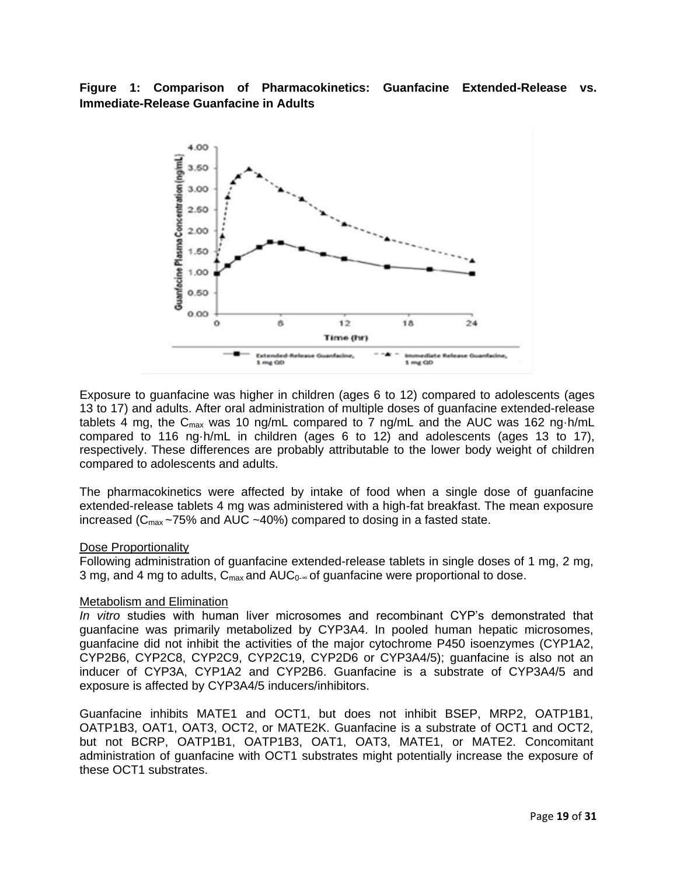**Figure 1: Comparison of Pharmacokinetics: Guanfacine Extended-Release vs. Immediate-Release Guanfacine in Adults**



Exposure to guanfacine was higher in children (ages 6 to 12) compared to adolescents (ages 13 to 17) and adults. After oral administration of multiple doses of guanfacine extended-release tablets 4 mg, the  $C_{\text{max}}$  was 10 ng/mL compared to 7 ng/mL and the AUC was 162 ng $\cdot$ h/mL compared to 116 ng·h/mL in children (ages 6 to 12) and adolescents (ages 13 to 17), respectively. These differences are probably attributable to the lower body weight of children compared to adolescents and adults.

The pharmacokinetics were affected by intake of food when a single dose of guanfacine extended-release tablets 4 mg was administered with a high-fat breakfast. The mean exposure increased ( $C_{\text{max}}$  ~75% and AUC ~40%) compared to dosing in a fasted state.

#### Dose Proportionality

Following administration of guanfacine extended-release tablets in single doses of 1 mg, 2 mg, 3 mg, and 4 mg to adults,  $C_{\text{max}}$  and  $AUC_{0}$ - $\infty$  of guanfacine were proportional to dose.

# Metabolism and Elimination

*In vitro* studies with human liver microsomes and recombinant CYP's demonstrated that guanfacine was primarily metabolized by CYP3A4. In pooled human hepatic microsomes, guanfacine did not inhibit the activities of the major cytochrome P450 isoenzymes (CYP1A2, CYP2B6, CYP2C8, CYP2C9, CYP2C19, CYP2D6 or CYP3A4/5); guanfacine is also not an inducer of CYP3A, CYP1A2 and CYP2B6. Guanfacine is a substrate of CYP3A4/5 and exposure is affected by CYP3A4/5 inducers/inhibitors.

Guanfacine inhibits MATE1 and OCT1, but does not inhibit BSEP, MRP2, OATP1B1, OATP1B3, OAT1, OAT3, OCT2, or MATE2K. Guanfacine is a substrate of OCT1 and OCT2, but not BCRP, OATP1B1, OATP1B3, OAT1, OAT3, MATE1, or MATE2. Concomitant administration of guanfacine with OCT1 substrates might potentially increase the exposure of these OCT1 substrates.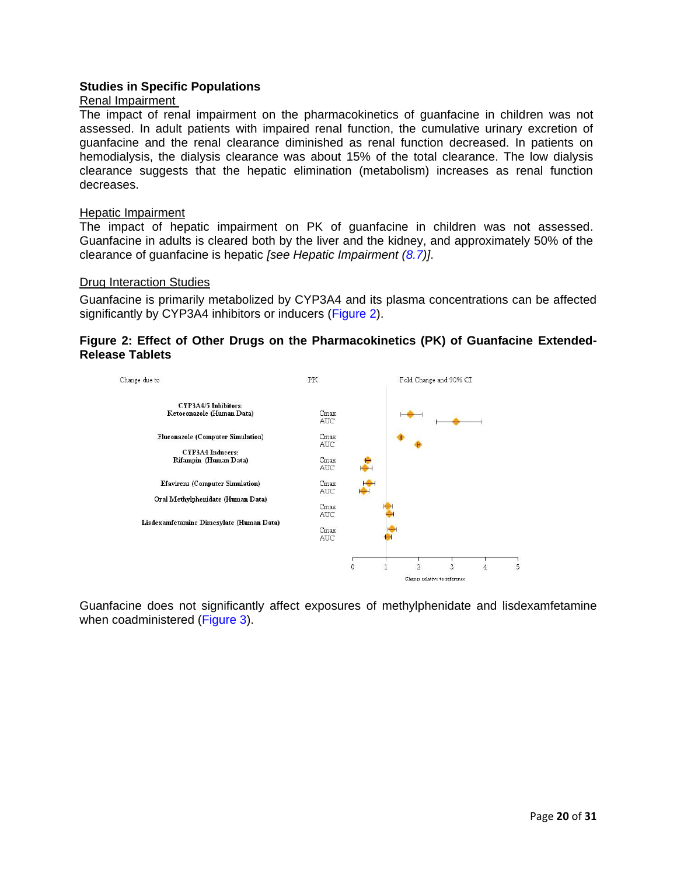# **Studies in Specific Populations**

### Renal Impairment

The impact of renal impairment on the pharmacokinetics of guanfacine in children was not assessed. In adult patients with impaired renal function, the cumulative urinary excretion of guanfacine and the renal clearance diminished as renal function decreased. In patients on hemodialysis, the dialysis clearance was about 15% of the total clearance. The low dialysis clearance suggests that the hepatic elimination (metabolism) increases as renal function decreases.

### Hepatic Impairment

The impact of hepatic impairment on PK of guanfacine in children was not assessed. Guanfacine in adults is cleared both by the liver and the kidney, and approximately 50% of the clearance of guanfacine is hepatic *[see Hepatic Impairment [\(8.7\)](#page-15-3)]*.

### Drug Interaction Studies

Guanfacine is primarily metabolized by CYP3A4 and its plasma concentrations can be affected significantly by CYP3A4 inhibitors or inducers [\(Figure 2\)](#page-19-0).

# <span id="page-19-0"></span>**Figure 2: Effect of Other Drugs on the Pharmacokinetics (PK) of Guanfacine Extended-Release Tablets**



Guanfacine does not significantly affect exposures of methylphenidate and lisdexamfetamine when coadministered [\(Figure 3\)](#page-20-3).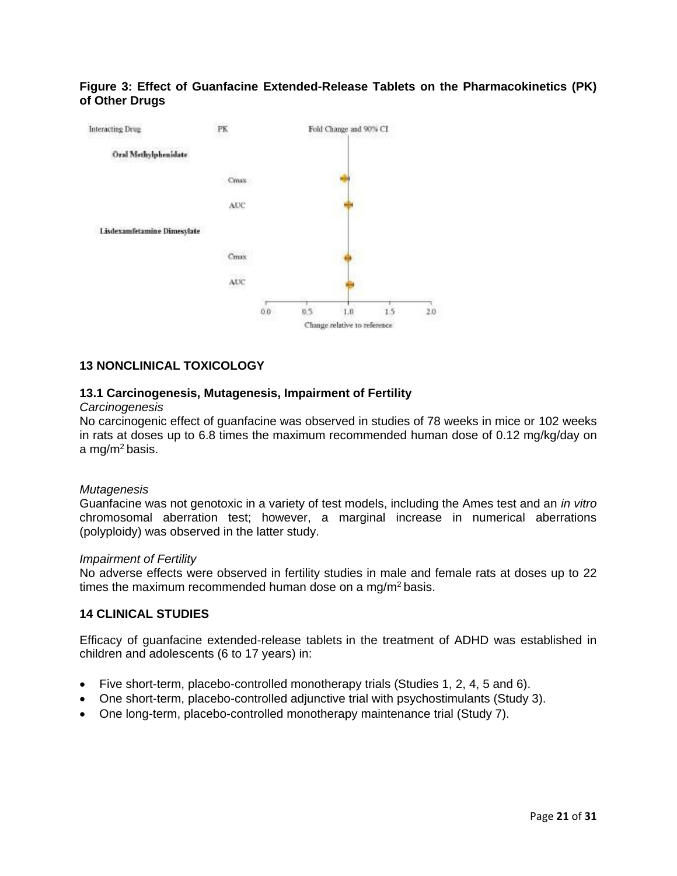# <span id="page-20-3"></span>**Figure 3: Effect of Guanfacine Extended-Release Tablets on the Pharmacokinetics (PK) of Other Drugs**



# <span id="page-20-1"></span>**13 NONCLINICAL TOXICOLOGY**

# <span id="page-20-2"></span>**13.1 Carcinogenesis, Mutagenesis, Impairment of Fertility**

#### *Carcinogenesis*

No carcinogenic effect of guanfacine was observed in studies of 78 weeks in mice or 102 weeks in rats at doses up to 6.8 times the maximum recommended human dose of 0.12 mg/kg/day on a mg/m<sup>2</sup> basis.

#### *Mutagenesis*

Guanfacine was not genotoxic in a variety of test models, including the Ames test and an *in vitro*  chromosomal aberration test; however, a marginal increase in numerical aberrations (polyploidy) was observed in the latter study.

#### *Impairment of Fertility*

No adverse effects were observed in fertility studies in male and female rats at doses up to 22 times the maximum recommended human dose on a mg/m<sup>2</sup> basis.

#### <span id="page-20-0"></span>**14 CLINICAL STUDIES**

Efficacy of guanfacine extended-release tablets in the treatment of ADHD was established in children and adolescents (6 to 17 years) in:

- Five short-term, placebo-controlled monotherapy trials (Studies 1, 2, 4, 5 and 6).
- One short-term, placebo-controlled adjunctive trial with psychostimulants (Study 3).
- One long-term, placebo-controlled monotherapy maintenance trial (Study 7).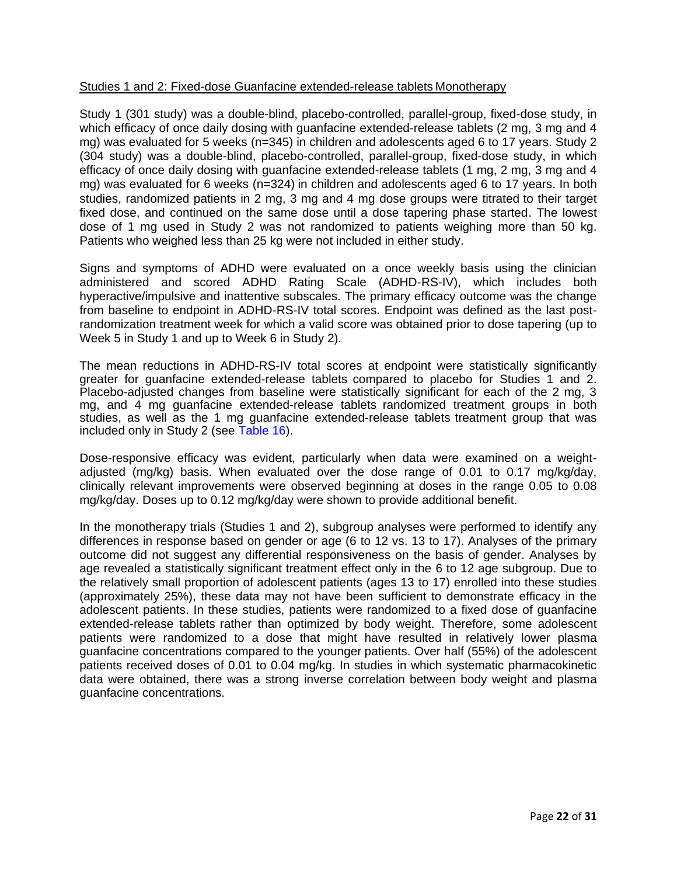# Studies 1 and 2: Fixed-dose Guanfacine extended-release tablets Monotherapy

Study 1 (301 study) was a double-blind, placebo-controlled, parallel-group, fixed-dose study, in which efficacy of once daily dosing with guanfacine extended-release tablets (2 mg, 3 mg and 4 mg) was evaluated for 5 weeks (n=345) in children and adolescents aged 6 to 17 years. Study 2 (304 study) was a double-blind, placebo-controlled, parallel-group, fixed-dose study, in which efficacy of once daily dosing with guanfacine extended-release tablets (1 mg, 2 mg, 3 mg and 4 mg) was evaluated for 6 weeks (n=324) in children and adolescents aged 6 to 17 years. In both studies, randomized patients in 2 mg, 3 mg and 4 mg dose groups were titrated to their target fixed dose, and continued on the same dose until a dose tapering phase started. The lowest dose of 1 mg used in Study 2 was not randomized to patients weighing more than 50 kg. Patients who weighed less than 25 kg were not included in either study.

Signs and symptoms of ADHD were evaluated on a once weekly basis using the clinician administered and scored ADHD Rating Scale (ADHD-RS-IV), which includes both hyperactive/impulsive and inattentive subscales. The primary efficacy outcome was the change from baseline to endpoint in ADHD-RS-IV total scores. Endpoint was defined as the last postrandomization treatment week for which a valid score was obtained prior to dose tapering (up to Week 5 in Study 1 and up to Week 6 in Study 2).

The mean reductions in ADHD-RS-IV total scores at endpoint were statistically significantly greater for guanfacine extended-release tablets compared to placebo for Studies 1 and 2. Placebo-adjusted changes from baseline were statistically significant for each of the 2 mg, 3 mg, and 4 mg guanfacine extended-release tablets randomized treatment groups in both studies, as well as the 1 mg guanfacine extended-release tablets treatment group that was included only in Study 2 (see [Table 16\)](#page-22-0).

Dose-responsive efficacy was evident, particularly when data were examined on a weightadjusted (mg/kg) basis. When evaluated over the dose range of 0.01 to 0.17 mg/kg/day, clinically relevant improvements were observed beginning at doses in the range 0.05 to 0.08 mg/kg/day. Doses up to 0.12 mg/kg/day were shown to provide additional benefit.

In the monotherapy trials (Studies 1 and 2), subgroup analyses were performed to identify any differences in response based on gender or age (6 to 12 vs. 13 to 17). Analyses of the primary outcome did not suggest any differential responsiveness on the basis of gender. Analyses by age revealed a statistically significant treatment effect only in the 6 to 12 age subgroup. Due to the relatively small proportion of adolescent patients (ages 13 to 17) enrolled into these studies (approximately 25%), these data may not have been sufficient to demonstrate efficacy in the adolescent patients. In these studies, patients were randomized to a fixed dose of guanfacine extended-release tablets rather than optimized by body weight. Therefore, some adolescent patients were randomized to a dose that might have resulted in relatively lower plasma guanfacine concentrations compared to the younger patients. Over half (55%) of the adolescent patients received doses of 0.01 to 0.04 mg/kg. In studies in which systematic pharmacokinetic data were obtained, there was a strong inverse correlation between body weight and plasma guanfacine concentrations.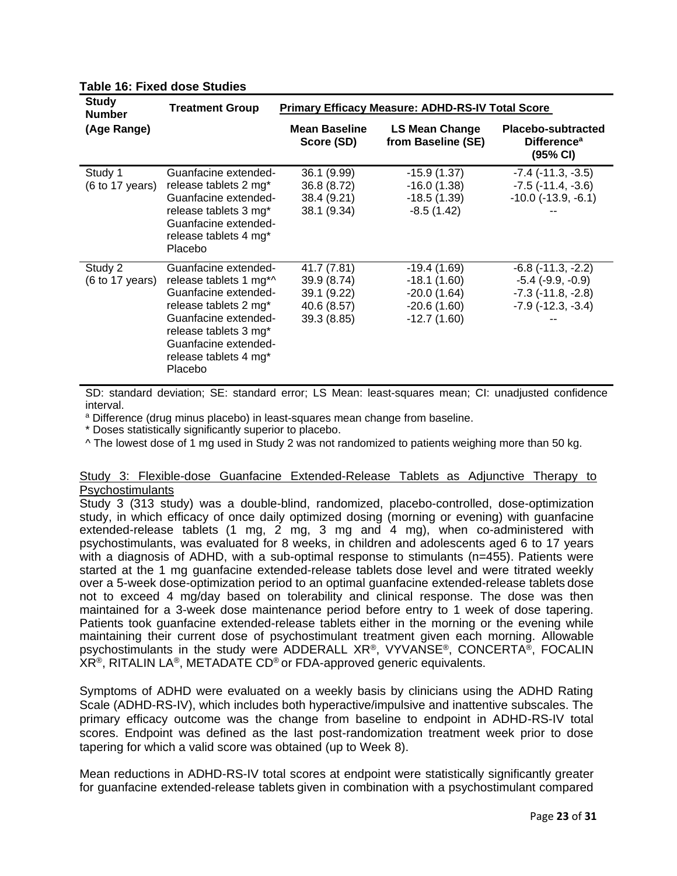| <b>Study</b><br><b>Number</b>                 | <b>Treatment Group</b>                                                                                                                                     | <b>Primary Efficacy Measure: ADHD-RS-IV Total Score</b>  |                                                                  |                                                                                                          |  |
|-----------------------------------------------|------------------------------------------------------------------------------------------------------------------------------------------------------------|----------------------------------------------------------|------------------------------------------------------------------|----------------------------------------------------------------------------------------------------------|--|
| (Age Range)                                   |                                                                                                                                                            | <b>Mean Baseline</b><br>Score (SD)                       | <b>LS Mean Change</b><br>from Baseline (SE)                      | Placebo-subtracted<br><b>Difference</b> <sup>a</sup><br>(95% CI)                                         |  |
| Study 1<br>$(6 \text{ to } 17 \text{ years})$ | Guanfacine extended-<br>release tablets 2 mg*<br>Guanfacine extended-<br>release tablets 3 mg*<br>Guanfacine extended-<br>release tablets 4 mg*<br>Placebo | 36.1 (9.99)<br>36.8 (8.72)<br>38.4 (9.21)<br>38.1 (9.34) | $-15.9(1.37)$<br>$-16.0(1.38)$<br>$-18.5(1.39)$<br>$-8.5(1.42)$  | $-7.4$ ( $-11.3$ , $-3.5$ )<br>$-7.5$ ( $-11.4$ , $-3.6$ )<br>$-10.0$ ( $-13.9$ , $-6.1$ )               |  |
| Study 2<br>$(6 \text{ to } 17 \text{ years})$ | Guanfacine extended-<br>release tablets 1 mg*^<br>Guanfacine extended-<br>release tablets 2 mg <sup>*</sup>                                                | 41.7 (7.81)<br>39.9 (8.74)<br>39.1 (9.22)<br>40.6 (8.57) | $-19.4(1.69)$<br>$-18.1(1.60)$<br>$-20.0(1.64)$<br>$-20.6(1.60)$ | $-6.8$ ( $-11.3$ , $-2.2$ )<br>$-5.4$ $(-9.9, -0.9)$<br>$-7.3$ $(-11.8, -2.8)$<br>$-7.9$ $(-12.3, -3.4)$ |  |

# <span id="page-22-0"></span>**Table 16: Fixed dose Studies**

SD: standard deviation; SE: standard error; LS Mean: least-squares mean; CI: unadjusted confidence interval.

-12.7 (1.60)

a Difference (drug minus placebo) in least-squares mean change from baseline.

\* Doses statistically significantly superior to placebo.

Placebo

Guanfacine extendedrelease tablets 3 mg\* Guanfacine extendedrelease tablets 4 mg\*

^ The lowest dose of 1 mg used in Study 2 was not randomized to patients weighing more than 50 kg.

39.3 (8.85)

### Study 3: Flexible-dose Guanfacine Extended-Release Tablets as Adjunctive Therapy to **Psychostimulants**

Study 3 (313 study) was a double-blind, randomized, placebo-controlled, dose-optimization study, in which efficacy of once daily optimized dosing (morning or evening) with guanfacine extended-release tablets (1 mg, 2 mg, 3 mg and 4 mg), when co-administered with psychostimulants, was evaluated for 8 weeks, in children and adolescents aged 6 to 17 years with a diagnosis of ADHD, with a sub-optimal response to stimulants (n=455). Patients were started at the 1 mg guanfacine extended-release tablets dose level and were titrated weekly over a 5-week dose-optimization period to an optimal guanfacine extended-release tablets dose not to exceed 4 mg/day based on tolerability and clinical response. The dose was then maintained for a 3-week dose maintenance period before entry to 1 week of dose tapering. Patients took guanfacine extended-release tablets either in the morning or the evening while maintaining their current dose of psychostimulant treatment given each morning. Allowable psychostimulants in the study were ADDERALL XR®, VYVANSE®, CONCERTA®, FOCALIN XR®, RITALIN LA®, METADATE CD® or FDA-approved generic equivalents.

Symptoms of ADHD were evaluated on a weekly basis by clinicians using the ADHD Rating Scale (ADHD-RS-IV), which includes both hyperactive/impulsive and inattentive subscales. The primary efficacy outcome was the change from baseline to endpoint in ADHD-RS-IV total scores. Endpoint was defined as the last post-randomization treatment week prior to dose tapering for which a valid score was obtained (up to Week 8).

Mean reductions in ADHD-RS-IV total scores at endpoint were statistically significantly greater for guanfacine extended-release tablets given in combination with a psychostimulant compared

--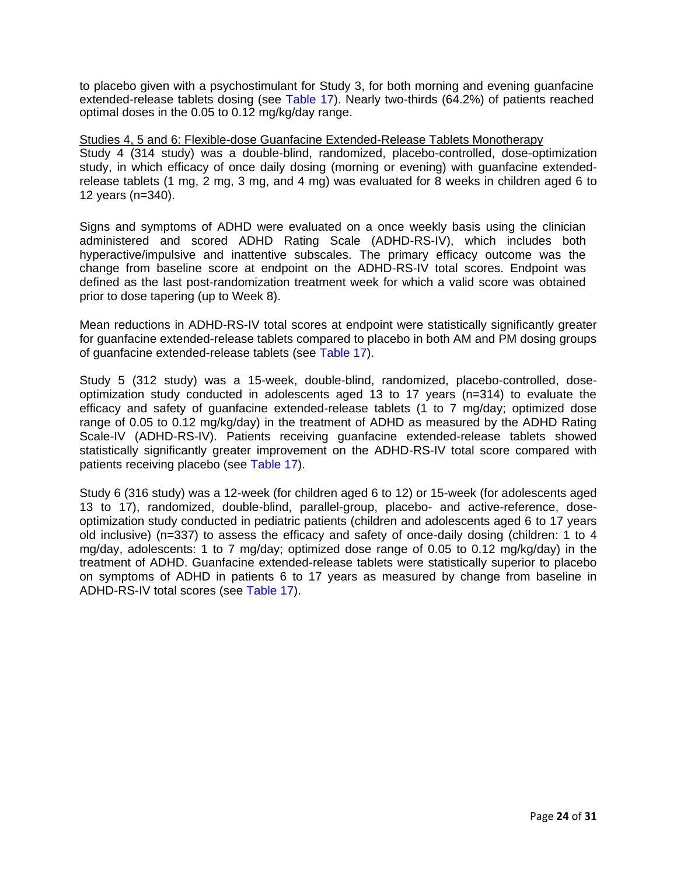to placebo given with a psychostimulant for Study 3, for both morning and evening guanfacine extended-release tablets dosing (see [Table 17\)](#page-24-0). Nearly two-thirds (64.2%) of patients reached optimal doses in the 0.05 to 0.12 mg/kg/day range.

Studies 4, 5 and 6: Flexible-dose Guanfacine Extended-Release Tablets Monotherapy Study 4 (314 study) was a double-blind, randomized, placebo-controlled, dose-optimization study, in which efficacy of once daily dosing (morning or evening) with guanfacine extendedrelease tablets (1 mg, 2 mg, 3 mg, and 4 mg) was evaluated for 8 weeks in children aged 6 to 12 years (n=340).

Signs and symptoms of ADHD were evaluated on a once weekly basis using the clinician administered and scored ADHD Rating Scale (ADHD-RS-IV), which includes both hyperactive/impulsive and inattentive subscales. The primary efficacy outcome was the change from baseline score at endpoint on the ADHD-RS-IV total scores. Endpoint was defined as the last post-randomization treatment week for which a valid score was obtained prior to dose tapering (up to Week 8).

Mean reductions in ADHD-RS-IV total scores at endpoint were statistically significantly greater for guanfacine extended-release tablets compared to placebo in both AM and PM dosing groups of guanfacine extended-release tablets (see [Table 17\)](#page-24-0).

Study 5 (312 study) was a 15-week, double-blind, randomized, placebo-controlled, doseoptimization study conducted in adolescents aged 13 to 17 years (n=314) to evaluate the efficacy and safety of guanfacine extended-release tablets (1 to 7 mg/day; optimized dose range of 0.05 to 0.12 mg/kg/day) in the treatment of ADHD as measured by the ADHD Rating Scale-IV (ADHD-RS-IV). Patients receiving guanfacine extended-release tablets showed statistically significantly greater improvement on the ADHD-RS-IV total score compared with patients receiving placebo (see [Table 17\)](#page-24-0).

Study 6 (316 study) was a 12-week (for children aged 6 to 12) or 15-week (for adolescents aged 13 to 17), randomized, double-blind, parallel-group, placebo- and active-reference, doseoptimization study conducted in pediatric patients (children and adolescents aged 6 to 17 years old inclusive) (n=337) to assess the efficacy and safety of once-daily dosing (children: 1 to 4 mg/day, adolescents: 1 to 7 mg/day; optimized dose range of 0.05 to 0.12 mg/kg/day) in the treatment of ADHD. Guanfacine extended-release tablets were statistically superior to placebo on symptoms of ADHD in patients 6 to 17 years as measured by change from baseline in ADHD-RS-IV total scores (see [Table 17\)](#page-24-0).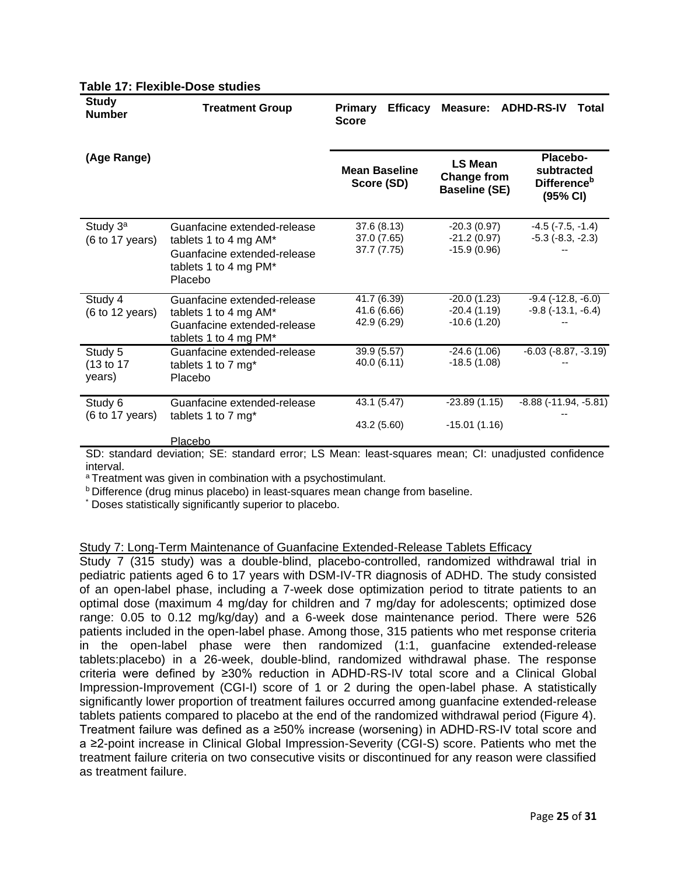| <b>Study</b><br><b>Number</b>                 | <b>Treatment Group</b>                                                                                                  | <b>Primary</b><br><b>Efficacy</b><br><b>Score</b> | <b>Measure:</b>                                              | <b>ADHD-RS-IV</b><br>Total                                           |
|-----------------------------------------------|-------------------------------------------------------------------------------------------------------------------------|---------------------------------------------------|--------------------------------------------------------------|----------------------------------------------------------------------|
| (Age Range)                                   |                                                                                                                         | <b>Mean Baseline</b><br>Score (SD)                | <b>LS Mean</b><br><b>Change from</b><br><b>Baseline (SE)</b> | Placebo-<br>subtracted<br><b>Difference</b> <sup>b</sup><br>(95% CI) |
| Study 3 <sup>a</sup><br>(6 to 17 years)       | Guanfacine extended-release<br>tablets 1 to 4 mg AM*<br>Guanfacine extended-release<br>tablets 1 to 4 mg PM*<br>Placebo | 37.6 (8.13)<br>37.0 (7.65)<br>37.7 (7.75)         | $-20.3(0.97)$<br>$-21.2(0.97)$<br>$-15.9(0.96)$              | $-4.5$ ( $-7.5$ , $-1.4$ )<br>$-5.3$ $(-8.3, -2.3)$                  |
| Study 4<br>$(6 \text{ to } 12 \text{ years})$ | Guanfacine extended-release<br>tablets 1 to 4 mg AM*<br>Guanfacine extended-release<br>tablets 1 to 4 mg PM*            | 41.7 (6.39)<br>41.6 (6.66)<br>42.9 (6.29)         | $-20.0(1.23)$<br>$-20.4(1.19)$<br>$-10.6(1.20)$              | $-9.4$ $(-12.8, -6.0)$<br>$-9.8$ ( $-13.1, -6.4$ )                   |
| Study 5<br>(13 to 17<br>years)                | Guanfacine extended-release<br>tablets 1 to 7 mg*<br>Placebo                                                            | 39.9 (5.57)<br>40.0 (6.11)                        | $-24.6(1.06)$<br>$-18.5(1.08)$                               | $-6.03$ $(-8.87, -3.19)$                                             |
| Study 6<br>$(6 \text{ to } 17 \text{ years})$ | Guanfacine extended-release<br>tablets 1 to 7 mg*<br>Placebo                                                            | 43.1 (5.47)<br>43.2 (5.60)                        | $-23.89(1.15)$<br>$-15.01(1.16)$                             | $-8.88$ ( $-11.94$ , $-5.81$ )                                       |

### <span id="page-24-0"></span>**Table 17: Flexible-Dose studies**

SD: standard deviation; SE: standard error; LS Mean: least-squares mean; CI: unadjusted confidence interval.

a Treatment was given in combination with a psychostimulant.

<sup>b</sup> Difference (drug minus placebo) in least-squares mean change from baseline.

\* Doses statistically significantly superior to placebo.

### Study 7: Long-Term Maintenance of Guanfacine Extended-Release Tablets Efficacy

Study 7 (315 study) was a double-blind, placebo-controlled, randomized withdrawal trial in pediatric patients aged 6 to 17 years with DSM-IV-TR diagnosis of ADHD. The study consisted of an open-label phase, including a 7-week dose optimization period to titrate patients to an optimal dose (maximum 4 mg/day for children and 7 mg/day for adolescents; optimized dose range: 0.05 to 0.12 mg/kg/day) and a 6-week dose maintenance period. There were 526 patients included in the open-label phase. Among those, 315 patients who met response criteria in the open-label phase were then randomized (1:1, guanfacine extended-release tablets:placebo) in a 26-week, double-blind, randomized withdrawal phase. The response criteria were defined by ≥30% reduction in ADHD-RS-IV total score and a Clinical Global Impression-Improvement (CGI-I) score of 1 or 2 during the open-label phase. A statistically significantly lower proportion of treatment failures occurred among guanfacine extended-release tablets patients compared to placebo at the end of the randomized withdrawal period (Figure 4). Treatment failure was defined as a ≥50% increase (worsening) in ADHD-RS-IV total score and a ≥2-point increase in Clinical Global Impression-Severity (CGI-S) score. Patients who met the treatment failure criteria on two consecutive visits or discontinued for any reason were classified as treatment failure.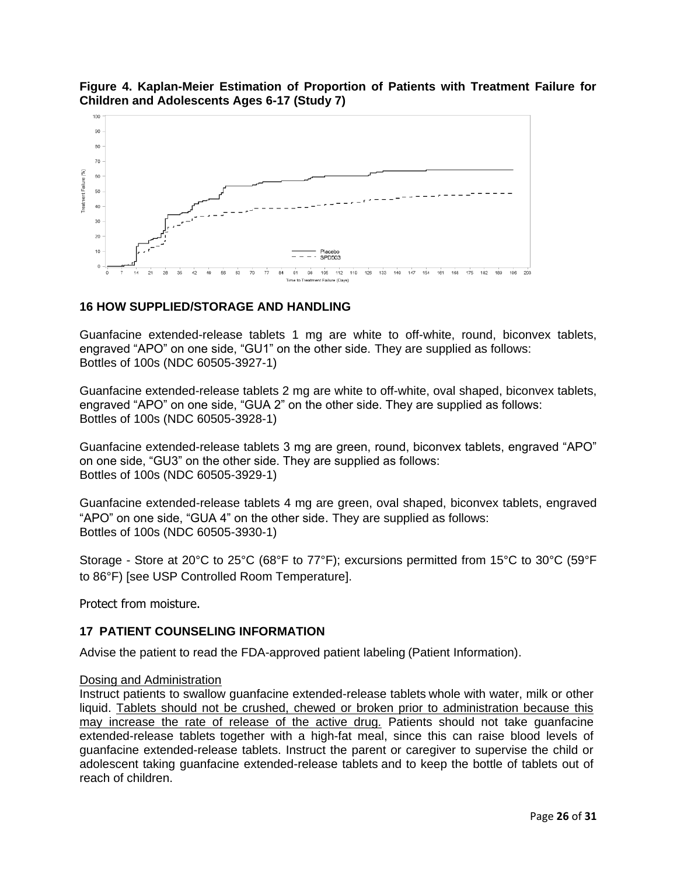

# **Figure 4. Kaplan-Meier Estimation of Proportion of Patients with Treatment Failure for Children and Adolescents Ages 6-17 (Study 7)**

# <span id="page-25-1"></span>**16 HOW SUPPLIED/STORAGE AND HANDLING**

Guanfacine extended-release tablets 1 mg are white to off-white, round, biconvex tablets, engraved "APO" on one side, "GU1" on the other side. They are supplied as follows: Bottles of 100s (NDC 60505-3927-1)

Guanfacine extended-release tablets 2 mg are white to off-white, oval shaped, biconvex tablets, engraved "APO" on one side, "GUA 2" on the other side. They are supplied as follows: Bottles of 100s (NDC 60505-3928-1)

Guanfacine extended-release tablets 3 mg are green, round, biconvex tablets, engraved "APO" on one side, "GU3" on the other side. They are supplied as follows: Bottles of 100s (NDC 60505-3929-1)

Guanfacine extended-release tablets 4 mg are green, oval shaped, biconvex tablets, engraved "APO" on one side, "GUA 4" on the other side. They are supplied as follows: Bottles of 100s (NDC 60505-3930-1)

Storage - Store at 20°C to 25°C (68°F to 77°F); excursions permitted from 15°C to 30°C (59°F to 86°F) [see USP Controlled Room Temperature].

Protect from moisture.

# <span id="page-25-0"></span>**17 PATIENT COUNSELING INFORMATION**

Advise the patient to read the FDA-approved patient labeling (Patient Information).

# Dosing and Administration

Instruct patients to swallow guanfacine extended-release tablets whole with water, milk or other liquid. Tablets should not be crushed, chewed or broken prior to administration because this may increase the rate of release of the active drug*.* Patients should not take guanfacine extended-release tablets together with a high-fat meal, since this can raise blood levels of guanfacine extended-release tablets. Instruct the parent or caregiver to supervise the child or adolescent taking guanfacine extended-release tablets and to keep the bottle of tablets out of reach of children.